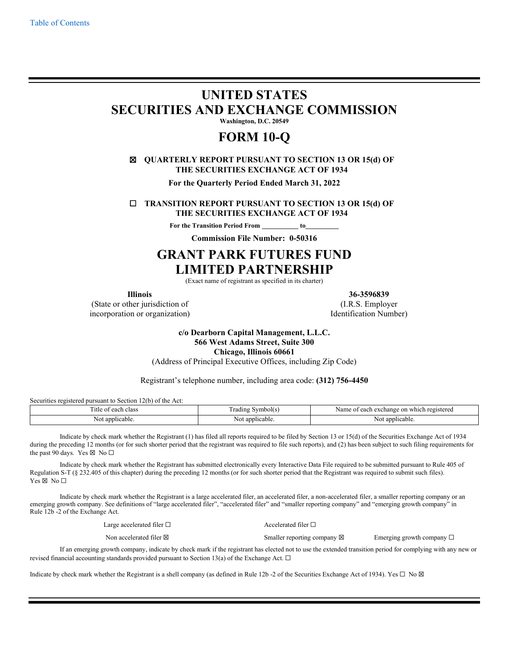# **UNITED STATES SECURITIES AND EXCHANGE COMMISSION**

**Washington, D.C. 20549**

# **FORM 10-Q**

# ☒ **QUARTERLY REPORT PURSUANT TO SECTION 13 OR 15(d) OF THE SECURITIES EXCHANGE ACT OF 1934**

**For the Quarterly Period Ended March 31, 2022**

☐ **TRANSITION REPORT PURSUANT TO SECTION 13 OR 15(d) OF THE SECURITIES EXCHANGE ACT OF 1934**

**For the Transition Period From to** 

**Commission File Number: 0-50316**

# **GRANT PARK FUTURES FUND LIMITED PARTNERSHIP**

(Exact name of registrant as specified in its charter)

**Illinois 36-3596839**

(State or other jurisdiction of (I.R.S. Employer incorporation or organization) and the set of the Identification Number

**c/o Dearborn Capital Management, L.L.C. 566 West Adams Street, Suite 300 Chicago, Illinois 60661** (Address of Principal Executive Offices, including Zip Code)

Registrant's telephone number, including area code: **(312) 756-4450**

Securities registered pursuant to Section 12(b) of the Act:

| l'itle<br>clas:<br>eacr | mbolt:<br>. radıng              | registered<br>Name<br>each<br>exchange on<br>∵ which<br>$\sim$ |
|-------------------------|---------------------------------|----------------------------------------------------------------|
| licable<br>anr          | 0.9353<br>licable.<br>NΟ<br>. . | appli<br>hcable                                                |

Indicate by check mark whether the Registrant (1) has filed all reports required to be filed by Section 13 or 15(d) of the Securities Exchange Act of 1934 during the preceding 12 months (or for such shorter period that the registrant was required to file such reports), and (2) has been subject to such filing requirements for the past 90 days. Yes  $\boxtimes$  No  $\square$ 

Indicate by check mark whether the Registrant has submitted electronically every Interactive Data File required to be submitted pursuant to Rule 405 of Regulation S-T (§ 232.405 of this chapter) during the preceding 12 months (or for such shorter period that the Registrant was required to submit such files). Yes  $\boxtimes$  No  $\square$ 

Indicate by check mark whether the Registrant is a large accelerated filer, an accelerated filer, a non-accelerated filer, a smaller reporting company or an emerging growth company. See definitions of "large accelerated filer", "accelerated filer" and "smaller reporting company" and "emerging growth company" in Rule 12b -2 of the Exchange Act.

| Large accelerated filer $\square$                                                                                                       | Accelerated filer $\Box$              |                                   |
|-----------------------------------------------------------------------------------------------------------------------------------------|---------------------------------------|-----------------------------------|
| Non accelerated filer $\boxtimes$                                                                                                       | Smaller reporting company $\boxtimes$ | Emerging growth company $\square$ |
| rowth company, indicate by check mark if the registrant has elected not to use the extended transition period for complying with any ne |                                       |                                   |

If an emerging growth company, indicate by check mark if the registrant has elected not to use the extended transition period for complying with any new or revised financial accounting standards provided pursuant to Section 13(a) of the Exchange Act.  $\Box$ 

Indicate by check mark whether the Registrant is a shell company (as defined in Rule 12b -2 of the Securities Exchange Act of 1934). Yes  $\Box$  No  $\boxtimes$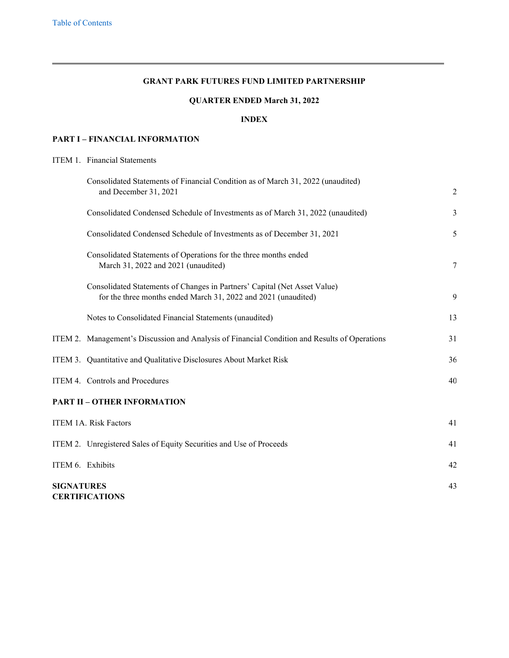# <span id="page-1-1"></span>**GRANT PARK FUTURES FUND LIMITED PARTNERSHIP**

# **QUARTER ENDED March 31, 2022**

# **INDEX**

## <span id="page-1-0"></span>**PART I – [FINANCIAL INFORMATION](#page-2-0)**

# [ITEM 1.](#page-2-1) [Financial Statements](#page-2-1)

| Consolidated Statements of Financial Condition as of March 31, 2022 (unaudited)<br>and December 31, 2021                                    | $\overline{2}$ |
|---------------------------------------------------------------------------------------------------------------------------------------------|----------------|
| Consolidated Condensed Schedule of Investments as of March 31, 2022 (unaudited)                                                             | 3              |
| Consolidated Condensed Schedule of Investments as of December 31, 2021                                                                      | 5              |
| Consolidated Statements of Operations for the three months ended<br>March 31, 2022 and 2021 (unaudited)                                     | 7              |
| Consolidated Statements of Changes in Partners' Capital (Net Asset Value)<br>for the three months ended March 31, 2022 and 2021 (unaudited) | 9              |
| Notes to Consolidated Financial Statements (unaudited)                                                                                      | 13             |
| ITEM 2. Management's Discussion and Analysis of Financial Condition and Results of Operations                                               | 31             |
| ITEM 3. Quantitative and Qualitative Disclosures About Market Risk                                                                          | 36             |
| ITEM 4. Controls and Procedures                                                                                                             | 40             |
| <b>PART II - OTHER INFORMATION</b>                                                                                                          |                |
| ITEM 1A. Risk Factors                                                                                                                       | 41             |
| ITEM 2. Unregistered Sales of Equity Securities and Use of Proceeds                                                                         | 41             |
| ITEM 6. Exhibits                                                                                                                            | 42             |
| <b>SIGNATURES</b><br><b>CERTIFICATIONS</b>                                                                                                  | 43             |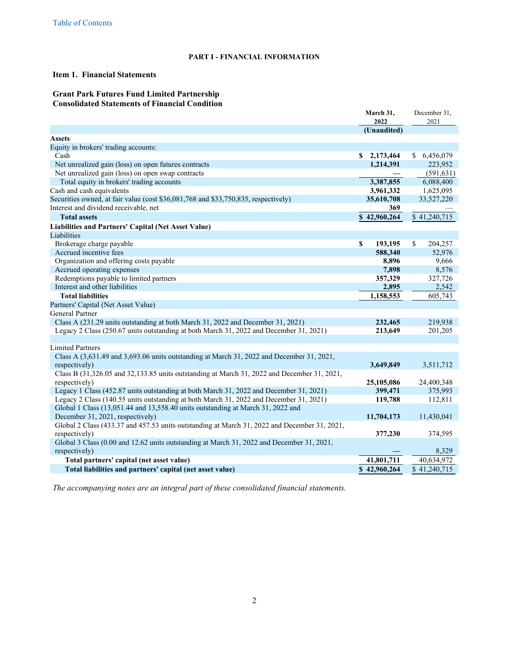## <span id="page-2-2"></span><span id="page-2-1"></span><span id="page-2-0"></span>**PART I - FINANCIAL INFORMATION**

# **Item 1. Financial Statements**

# **Grant Park Futures Fund Limited Partnership Consolidated Statements of Financial Condition**

|                                                                                              | March 31,                 | December 31,            |
|----------------------------------------------------------------------------------------------|---------------------------|-------------------------|
|                                                                                              | 2022                      | 2021                    |
| <b>Assets</b>                                                                                | (Unaudited)               |                         |
| Equity in brokers' trading accounts:                                                         |                           |                         |
| Cash                                                                                         | \$2,173,464               | \$6,456,079             |
| Net unrealized gain (loss) on open futures contracts                                         | 1,214,391                 | 223,952                 |
| Net unrealized gain (loss) on open swap contracts                                            |                           | (591, 631)              |
| Total equity in brokers' trading accounts                                                    | 3,387,855                 | 6,088,400               |
| Cash and cash equivalents                                                                    | 3,961,332                 | 1,625,095               |
| Securities owned, at fair value (cost \$36,081,768 and \$33,750,835, respectively)           | 35,610,708                | 33,527,220              |
| Interest and dividend receivable, net                                                        | 369                       |                         |
| <b>Total assets</b>                                                                          | $\overline{$}$ 42,960,264 | \$41,240,715            |
|                                                                                              |                           |                         |
| Liabilities and Partners' Capital (Net Asset Value)                                          |                           |                         |
| Liabilities<br>Brokerage charge payable                                                      | \$                        |                         |
| Accrued incentive fees                                                                       | 193,195<br>588,340        | 204,257<br>\$<br>52,976 |
| Organization and offering costs payable                                                      | 8,896                     |                         |
| Accrued operating expenses                                                                   | 7,898                     | 9,666<br>8,576          |
| Redemptions payable to limited partners                                                      | 357,329                   | 327,726                 |
| Interest and other liabilities                                                               | 2,895                     | 2,542                   |
| <b>Total liabilities</b>                                                                     | 1,158,553                 | 605,743                 |
| Partners' Capital (Net Asset Value)                                                          |                           |                         |
| General Partner                                                                              |                           |                         |
| Class A (231.29 units outstanding at both March 31, 2022 and December 31, 2021)              | 232,465                   | 219,938                 |
| Legacy 2 Class (250.67 units outstanding at both March 31, 2022 and December 31, 2021)       | 213,649                   | 201,205                 |
|                                                                                              |                           |                         |
| <b>Limited Partners</b>                                                                      |                           |                         |
| Class A (3,631.49 and 3,693.06 units outstanding at March 31, 2022 and December 31, 2021,    |                           |                         |
| respectively)                                                                                | 3,649,849                 | 3,511,712               |
| Class B (31,326.05 and 32,133.85 units outstanding at March 31, 2022 and December 31, 2021,  |                           |                         |
| respectively)                                                                                | 25,105,086                | 24,400,348              |
| Legacy 1 Class (452.87 units outstanding at both March 31, 2022 and December 31, 2021)       | 399,471                   | 375,993                 |
| Legacy 2 Class (140.55 units outstanding at both March 31, 2022 and December 31, 2021)       | 119,788                   | 112,811                 |
| Global 1 Class (13,051.44 and 13,558.40 units outstanding at March 31, 2022 and              |                           |                         |
| December 31, 2021, respectively)                                                             | 11,704,173                | 11,430,041              |
| Global 2 Class (433.37 and 457.53 units outstanding at March 31, 2022 and December 31, 2021, |                           |                         |
| respectively)                                                                                | 377,230                   | 374,595                 |
| Global 3 Class (0.00 and 12.62 units outstanding at March 31, 2022 and December 31, 2021,    |                           |                         |
| respectively)                                                                                |                           | 8,329                   |
| Total partners' capital (net asset value)                                                    | 41,801,711                | 40,634,972              |
| Total liabilities and partners' capital (net asset value)                                    | \$42,960,264              | \$41,240,715            |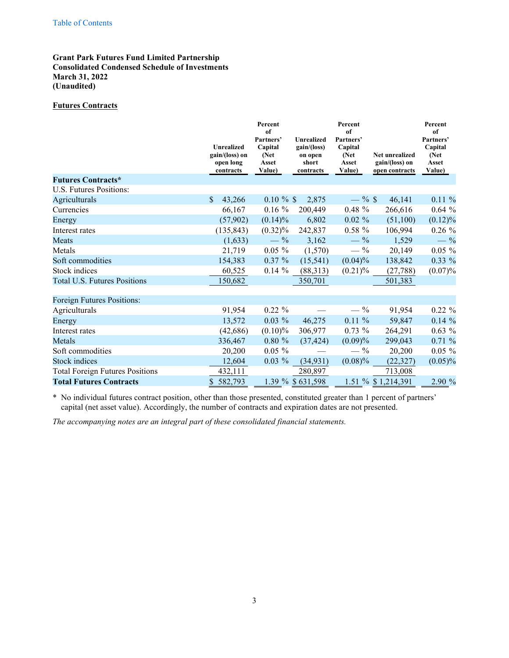# <span id="page-3-0"></span>**Grant Park Futures Fund Limited Partnership Consolidated Condensed Schedule of Investments March 31, 2022 (Unaudited)**

# **Futures Contracts**

|                                        | <b>Unrealized</b><br>gain/(loss) on<br>open long<br>contracts | Percent<br>of<br>Partners'<br>Capital<br>(Net<br>Asset<br>Value) | <b>Unrealized</b><br>gain/(loss)<br>on open<br>short<br>contracts | Percent<br>of<br>Partners'<br>Capital<br>(Net<br>Asset<br>Value) | <b>Net unrealized</b><br>gain/(loss) on<br>open contracts | Percent<br>of<br>Partners'<br>Capital<br>(Net<br>Asset<br>Value) |
|----------------------------------------|---------------------------------------------------------------|------------------------------------------------------------------|-------------------------------------------------------------------|------------------------------------------------------------------|-----------------------------------------------------------|------------------------------------------------------------------|
| <b>Futures Contracts*</b>              |                                                               |                                                                  |                                                                   |                                                                  |                                                           |                                                                  |
| U.S. Futures Positions:                |                                                               |                                                                  |                                                                   |                                                                  |                                                           |                                                                  |
| Agriculturals                          | \$<br>43,266                                                  | $0.10 \%$ \$                                                     | 2,875                                                             | $-$ % \$                                                         | 46,141                                                    | $0.11 \%$                                                        |
| Currencies                             | 66,167                                                        | $0.16\%$                                                         | 200,449                                                           | $0.48 \%$                                                        | 266,616                                                   | $0.64\%$                                                         |
| Energy                                 | (57,902)                                                      | $(0.14)\%$                                                       | 6,802                                                             | $0.02 \%$                                                        | (51,100)                                                  | $(0.12)\%$                                                       |
| Interest rates                         | (135, 843)                                                    | $(0.32)\%$                                                       | 242,837                                                           | $0.58 \%$                                                        | 106,994                                                   | $0.26 \%$                                                        |
| Meats                                  | (1,633)                                                       | $-$ %                                                            | 3,162                                                             | $-$ %                                                            | 1,529                                                     | $-$ %                                                            |
| Metals                                 | 21,719                                                        | $0.05 \%$                                                        | (1,570)                                                           | $- \frac{9}{6}$                                                  | 20,149                                                    | $0.05 \%$                                                        |
| Soft commodities                       | 154,383                                                       | $0.37 \%$                                                        | (15, 541)                                                         | $(0.04)\%$                                                       | 138,842                                                   | 0.33 %                                                           |
| Stock indices                          | 60,525                                                        | $0.14 \%$                                                        | (88,313)                                                          | $(0.21)\%$                                                       | (27, 788)                                                 | $(0.07)\%$                                                       |
| Total U.S. Futures Positions           | 150,682                                                       |                                                                  | 350,701                                                           |                                                                  | 501,383                                                   |                                                                  |
| Foreign Futures Positions:             |                                                               |                                                                  |                                                                   |                                                                  |                                                           |                                                                  |
| Agriculturals                          | 91,954                                                        | $0.22 \%$                                                        |                                                                   | $- \frac{9}{6}$                                                  | 91,954                                                    | $0.22 \%$                                                        |
| Energy                                 | 13,572                                                        | $0.03\%$                                                         | 46,275                                                            | $0.11 \%$                                                        | 59,847                                                    | $0.14 \%$                                                        |
| Interest rates                         | (42, 686)                                                     | $(0.10)\%$                                                       | 306,977                                                           | $0.73 \%$                                                        | 264,291                                                   | $0.63\%$                                                         |
| Metals                                 | 336,467                                                       | $0.80 \%$                                                        | (37, 424)                                                         | (0.09)%                                                          | 299,043                                                   | 0.71%                                                            |
| Soft commodities                       | 20,200                                                        | $0.05 \%$                                                        |                                                                   | $- \frac{9}{6}$                                                  | 20,200                                                    | $0.05 \%$                                                        |
| <b>Stock</b> indices                   | 12,604                                                        | $0.03 \%$                                                        | (34, 931)                                                         | $(0.08)\%$                                                       | (22, 327)                                                 | $(0.05)\%$                                                       |
| <b>Total Foreign Futures Positions</b> | 432,111                                                       |                                                                  | 280,897                                                           |                                                                  | 713,008                                                   |                                                                  |
| <b>Total Futures Contracts</b>         | 582,793<br>\$                                                 |                                                                  | 1.39 % \$631,598                                                  |                                                                  | 1.51 % \$1,214,391                                        | 2.90 %                                                           |

\* No individual futures contract position, other than those presented, constituted greater than 1 percent of partners' capital (net asset value). Accordingly, the number of contracts and expiration dates are not presented.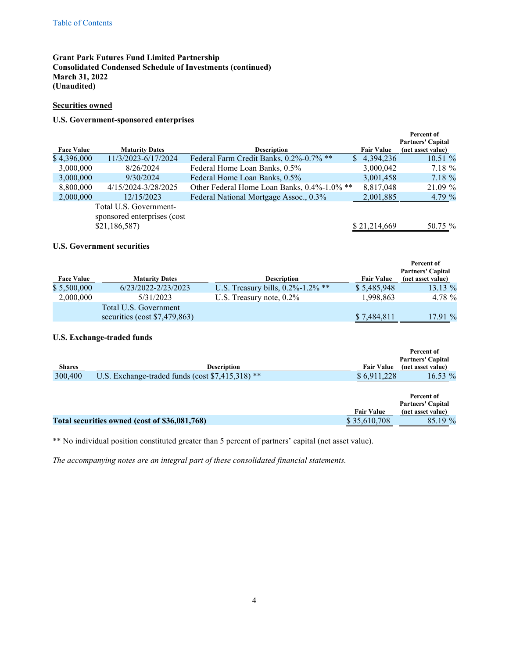# **Grant Park Futures Fund Limited Partnership Consolidated Condensed Schedule of Investments (continued) March 31, 2022 (Unaudited)**

## **Securities owned**

# **U.S. Government-sponsored enterprises**

| <b>Face Value</b> | <b>Maturity Dates</b>                                                 | <b>Description</b>                          | <b>Fair Value</b> | <b>Percent of</b><br><b>Partners' Capital</b><br>(net asset value) |
|-------------------|-----------------------------------------------------------------------|---------------------------------------------|-------------------|--------------------------------------------------------------------|
| \$4,396,000       | 11/3/2023-6/17/2024                                                   | Federal Farm Credit Banks, 0.2%-0.7% **     | 4,394,236<br>S.   | $10.51\%$                                                          |
| 3,000,000         | 8/26/2024                                                             | Federal Home Loan Banks, 0.5%               | 3,000,042         | 7.18 %                                                             |
| 3,000,000         | 9/30/2024                                                             | Federal Home Loan Banks, 0.5%               | 3,001,458         | $7.18 \%$                                                          |
| 8,800,000         | 4/15/2024-3/28/2025                                                   | Other Federal Home Loan Banks, 0.4%-1.0% ** | 8,817,048         | 21.09 %                                                            |
| 2,000,000         | 12/15/2023                                                            | Federal National Mortgage Assoc., 0.3%      | 2,001,885         | 4.79 $%$                                                           |
|                   | Total U.S. Government-<br>sponsored enterprises (cost<br>\$21,186,587 |                                             | \$21,214,669      | 50.75 %                                                            |

# **U.S. Government securities**

| <b>Face Value</b> | <b>Maturity Dates</b>           | <b>Description</b>                    | <b>Fair Value</b> | Percent of<br><b>Partners' Capital</b><br>(net asset value) |
|-------------------|---------------------------------|---------------------------------------|-------------------|-------------------------------------------------------------|
| \$5,500,000       | 6/23/2022-2/23/2023             | U.S. Treasury bills, $0.2\%$ -1.2% ** | \$5,485,948       | 13.13 %                                                     |
| 2,000,000         | 5/31/2023                       | U.S. Treasury note, $0.2\%$           | 1,998,863         | 4.78 %                                                      |
|                   | Total U.S. Government           |                                       |                   |                                                             |
|                   | securities (cost $$7,479,863$ ) |                                       | \$7,484,811       | $17.91\%$                                                   |

## **U.S. Exchange-traded funds**

| <b>Shares</b> | <b>Description</b>                                            | <b>Fair Value</b> | Percent of<br><b>Partners' Capital</b><br>(net asset value) |
|---------------|---------------------------------------------------------------|-------------------|-------------------------------------------------------------|
| 300,400       | U.S. Exchange-traded funds (cost $\sqrt[6]{7}$ , 415, 318) ** | \$6,911,228       | 16.53 $%$                                                   |
|               |                                                               | <b>Fair Value</b> | Percent of<br><b>Partners' Capital</b><br>(net asset value) |
|               | Total securities owned (cost of \$36,081,768)                 | \$35,610,708      | 85.19 %                                                     |

\*\* No individual position constituted greater than 5 percent of partners' capital (net asset value).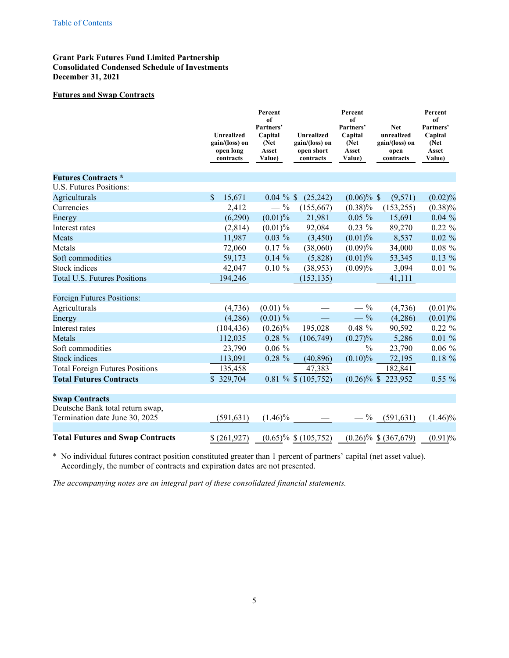# <span id="page-5-0"></span>**Grant Park Futures Fund Limited Partnership Consolidated Condensed Schedule of Investments December 31, 2021**

## **Futures and Swap Contracts**

|                                         | <b>Unrealized</b><br>gain/(loss) on<br>open long<br>contracts | Percent<br>of<br>Partners'<br>Capital<br>(Net)<br>Asset<br>Value) | <b>Unrealized</b><br>gain/(loss) on<br>open short<br>contracts | Percent<br>of<br>Partners'<br>Capital<br>(Net)<br>Asset<br>Value) | <b>Net</b><br>unrealized<br>gain/(loss) on<br>open<br>contracts | Percent<br>of<br>Partners'<br>Capital<br>(Net)<br>Asset<br>Value) |
|-----------------------------------------|---------------------------------------------------------------|-------------------------------------------------------------------|----------------------------------------------------------------|-------------------------------------------------------------------|-----------------------------------------------------------------|-------------------------------------------------------------------|
| <b>Futures Contracts *</b>              |                                                               |                                                                   |                                                                |                                                                   |                                                                 |                                                                   |
| U.S. Futures Positions:                 |                                                               |                                                                   |                                                                |                                                                   |                                                                 |                                                                   |
| Agriculturals                           | $\mathbf{\hat{S}}$<br>15,671                                  | $0.04 \%$                                                         | (25, 242)                                                      | $(0.06)\%$ \$                                                     | (9,571)                                                         | $(0.02)\%$                                                        |
| Currencies                              | 2,412                                                         | $-$ %                                                             | (155,667)                                                      | $(0.38)\%$                                                        | (153, 255)                                                      | $(0.38)\%$                                                        |
| Energy                                  | (6,290)                                                       | $(0.01)$ %                                                        | 21,981                                                         | $0.05 \%$                                                         | 15,691                                                          | 0.04%                                                             |
| Interest rates                          | (2,814)                                                       | $(0.01)$ %                                                        | 92,084                                                         | $0.23\%$                                                          | 89,270                                                          | $0.22 \%$                                                         |
| Meats                                   | 11,987                                                        | $0.03\%$                                                          | (3,450)                                                        | (0.01)%                                                           | 8,537                                                           | $0.02 \%$                                                         |
| Metals                                  | 72,060                                                        | $0.17 \%$                                                         | (38,060)                                                       | (0.09)%                                                           | 34,000                                                          | $0.08 \%$                                                         |
| Soft commodities                        | 59,173                                                        | $0.14 \%$                                                         | (5,828)                                                        | $(0.01)$ %                                                        | 53,345                                                          | $0.13\%$                                                          |
| Stock indices                           | 42,047                                                        | $0.10 \%$                                                         | (38,953)                                                       | (0.09)%                                                           | 3,094                                                           | 0.01%                                                             |
| <b>Total U.S. Futures Positions</b>     | 194,246                                                       |                                                                   | (153, 135)                                                     |                                                                   | 41,111                                                          |                                                                   |
| Foreign Futures Positions:              |                                                               |                                                                   |                                                                |                                                                   |                                                                 |                                                                   |
| Agriculturals                           | (4,736)                                                       | $(0.01) \%$                                                       |                                                                | $-$ %                                                             | (4,736)                                                         | (0.01)%                                                           |
| Energy                                  | (4,286)                                                       | $(0.01) \%$                                                       |                                                                | $- \frac{9}{6}$                                                   | (4,286)                                                         | (0.01)%                                                           |
| Interest rates                          | (104, 436)                                                    | $(0.26)\%$                                                        | 195,028                                                        | $0.48 \%$                                                         | 90,592                                                          | $0.22 \%$                                                         |
| Metals                                  | 112,035                                                       | $0.28 \%$                                                         | (106, 749)                                                     | (0.27)%                                                           | 5,286                                                           | 0.01%                                                             |
| Soft commodities                        | 23,790                                                        | $0.06 \%$                                                         |                                                                | $- \frac{9}{6}$                                                   | 23,790                                                          | $0.06 \%$                                                         |
| <b>Stock</b> indices                    | 113,091                                                       | $0.28 \%$                                                         | (40, 896)                                                      | $(0.10)\%$                                                        | 72,195                                                          | $0.18 \%$                                                         |
| <b>Total Foreign Futures Positions</b>  | 135,458                                                       |                                                                   | 47,383                                                         |                                                                   | 182,841                                                         |                                                                   |
| <b>Total Futures Contracts</b>          | \$329,704                                                     |                                                                   | $0.81 \%$ \$ (105,752)                                         |                                                                   | $(0.26)\%$ \$ 223,952                                           | $0.55\%$                                                          |
| <b>Swap Contracts</b>                   |                                                               |                                                                   |                                                                |                                                                   |                                                                 |                                                                   |
| Deutsche Bank total return swap,        |                                                               |                                                                   |                                                                |                                                                   |                                                                 |                                                                   |
| Termination date June 30, 2025          | (591, 631)                                                    | $(1.46)\%$                                                        |                                                                | $- \frac{9}{6}$                                                   | (591, 631)                                                      | $(1.46)\%$                                                        |
| <b>Total Futures and Swap Contracts</b> | \$(261,927)                                                   |                                                                   | $(0.65)\%$ \$ $(105,752)$                                      |                                                                   | $(0.26)\%$ \$ (367,679)                                         | (0.91)%                                                           |

\* No individual futures contract position constituted greater than 1 percent of partners' capital (net asset value). Accordingly, the number of contracts and expiration dates are not presented.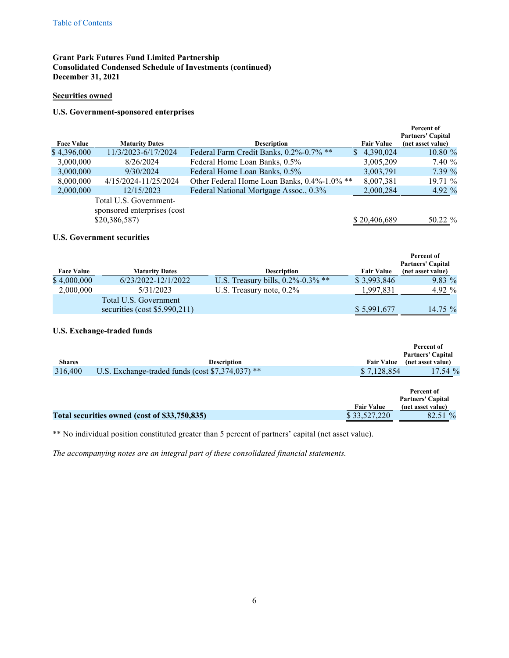# **Grant Park Futures Fund Limited Partnership Consolidated Condensed Schedule of Investments (continued) December 31, 2021**

# **Securities owned**

## **U.S. Government-sponsored enterprises**

| <b>Face Value</b> | <b>Maturity Dates</b>                                                  | <b>Description</b>                          | <b>Fair Value</b> | Percent of<br><b>Partners' Capital</b><br>(net asset value) |
|-------------------|------------------------------------------------------------------------|---------------------------------------------|-------------------|-------------------------------------------------------------|
| \$4,396,000       | 11/3/2023-6/17/2024                                                    | Federal Farm Credit Banks, 0.2%-0.7% **     | 4,390,024<br>S.   | 10.80 %                                                     |
| 3,000,000         | 8/26/2024                                                              | Federal Home Loan Banks, 0.5%               | 3,005,209         | 7.40 %                                                      |
| 3,000,000         | 9/30/2024                                                              | Federal Home Loan Banks, 0.5%               | 3,003,791         | 7.39%                                                       |
| 8,000,000         | 4/15/2024-11/25/2024                                                   | Other Federal Home Loan Banks, 0.4%-1.0% ** | 8,007,381         | 19.71%                                                      |
| 2,000,000         | 12/15/2023                                                             | Federal National Mortgage Assoc., 0.3%      | 2,000,284         | 4.92 $%$                                                    |
|                   | Total U.S. Government-<br>sponsored enterprises (cost<br>\$20,386,587) |                                             | \$20,406,689      | 50.22 %                                                     |

## **U.S. Government securities**

| <b>Face Value</b> | <b>Maturity Dates</b>           | <b>Description</b>                    | <b>Fair Value</b> | Percent of<br><b>Partners' Capital</b><br>(net asset value) |
|-------------------|---------------------------------|---------------------------------------|-------------------|-------------------------------------------------------------|
| \$4,000,000       | 6/23/2022-12/1/2022             | U.S. Treasury bills, $0.2\%$ -0.3% ** | \$3,993,846       | $9.83\%$                                                    |
| 2,000,000         | 5/31/2023                       | U.S. Treasury note, $0.2\%$           | 1.997.831         | 4.92 %                                                      |
|                   | Total U.S. Government           |                                       |                   |                                                             |
|                   | securities (cost $$5,990,211$ ) |                                       | \$5,991,677       | 14.75 $%$                                                   |

# **U.S. Exchange-traded funds**

|         |                                                  |                   | Percent of<br><b>Partners' Capital</b> |
|---------|--------------------------------------------------|-------------------|----------------------------------------|
| Shares  | <b>Description</b>                               | <b>Fair Value</b> | (net asset value)                      |
| 316,400 | U.S. Exchange-traded funds (cost \$7,374,037) ** | \$7,128,854       | 17.54 %                                |

|                                               |                   | Percent of<br><b>Partners' Capital</b> |
|-----------------------------------------------|-------------------|----------------------------------------|
|                                               | <b>Fair Value</b> | (net asset value)                      |
| Total securities owned (cost of \$33,750,835) | \$33,527,220      | 82.51 %                                |

\*\* No individual position constituted greater than 5 percent of partners' capital (net asset value).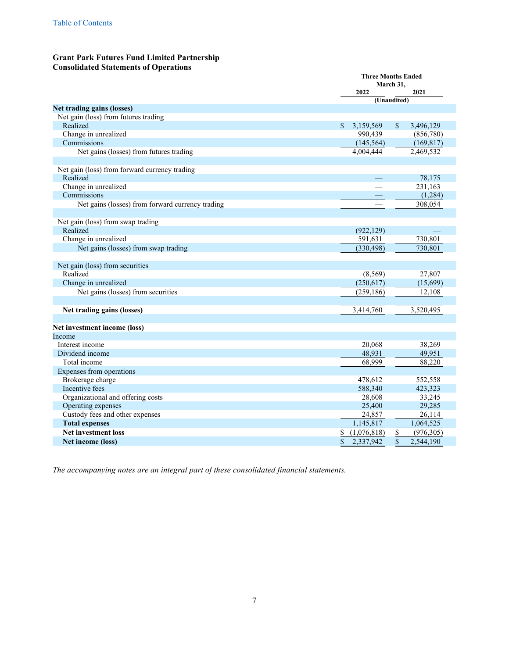# <span id="page-7-0"></span>**Grant Park Futures Fund Limited Partnership Consolidated Statements of Operations**

|                                                  | <b>Three Months Ended</b><br>March 31, |             |                 |            |  |  |
|--------------------------------------------------|----------------------------------------|-------------|-----------------|------------|--|--|
|                                                  |                                        | 2022        |                 | 2021       |  |  |
|                                                  |                                        |             | (Unaudited)     |            |  |  |
| Net trading gains (losses)                       |                                        |             |                 |            |  |  |
| Net gain (loss) from futures trading             |                                        |             |                 |            |  |  |
| Realized                                         | \$                                     | 3,159,569   | <sup>\$</sup>   | 3,496,129  |  |  |
| Change in unrealized                             |                                        | 990,439     |                 | (856,780)  |  |  |
| Commissions                                      |                                        | (145, 564)  |                 | (169, 817) |  |  |
| Net gains (losses) from futures trading          |                                        | 4,004,444   |                 | 2,469,532  |  |  |
|                                                  |                                        |             |                 |            |  |  |
| Net gain (loss) from forward currency trading    |                                        |             |                 |            |  |  |
| Realized                                         |                                        |             |                 | 78,175     |  |  |
| Change in unrealized                             |                                        |             |                 | 231,163    |  |  |
| Commissions                                      |                                        |             |                 | (1,284)    |  |  |
| Net gains (losses) from forward currency trading |                                        | $\equiv$    |                 | 308,054    |  |  |
|                                                  |                                        |             |                 |            |  |  |
| Net gain (loss) from swap trading                |                                        |             |                 |            |  |  |
| Realized                                         |                                        | (922, 129)  |                 |            |  |  |
| Change in unrealized                             |                                        | 591,631     |                 | 730,801    |  |  |
| Net gains (losses) from swap trading             |                                        | (330, 498)  |                 | 730,801    |  |  |
|                                                  |                                        |             |                 |            |  |  |
| Net gain (loss) from securities                  |                                        |             |                 |            |  |  |
| Realized                                         |                                        | (8,569)     |                 | 27,807     |  |  |
| Change in unrealized                             |                                        | (250, 617)  |                 | (15,699)   |  |  |
| Net gains (losses) from securities               |                                        | (259, 186)  |                 | 12,108     |  |  |
|                                                  |                                        |             |                 |            |  |  |
| Net trading gains (losses)                       |                                        | 3,414,760   |                 | 3,520,495  |  |  |
|                                                  |                                        |             |                 |            |  |  |
| Net investment income (loss)                     |                                        |             |                 |            |  |  |
| Income                                           |                                        |             |                 |            |  |  |
| Interest income                                  |                                        | 20,068      |                 | 38,269     |  |  |
| Dividend income                                  |                                        | 48,931      |                 | 49,951     |  |  |
| Total income                                     |                                        | 68,999      |                 | 88,220     |  |  |
| Expenses from operations                         |                                        |             |                 |            |  |  |
| Brokerage charge                                 |                                        | 478,612     |                 | 552,558    |  |  |
| Incentive fees                                   |                                        | 588,340     |                 | 423,323    |  |  |
| Organizational and offering costs                |                                        | 28,608      |                 | 33,245     |  |  |
| Operating expenses                               |                                        | 25,400      |                 | 29,285     |  |  |
| Custody fees and other expenses                  |                                        | 24,857      |                 | 26,114     |  |  |
| <b>Total expenses</b>                            |                                        | 1,145,817   |                 | 1,064,525  |  |  |
| <b>Net investment loss</b>                       | \$                                     | (1,076,818) | \$              | (976, 305) |  |  |
| Net income (loss)                                | \$                                     | 2,337,942   | $\overline{\$}$ | 2,544,190  |  |  |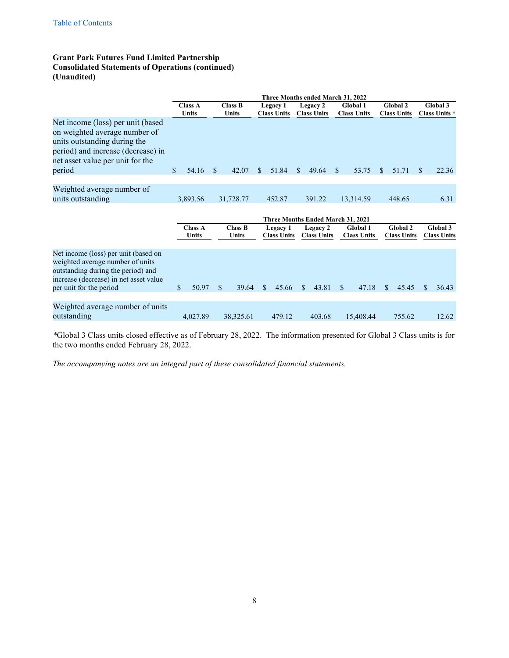# **Grant Park Futures Fund Limited Partnership Consolidated Statements of Operations (continued) (Unaudited)**

|                                                                                                                                                                                     |                |                |     |                |     |                    |               | Three Months ended March 31, 2022 |               |                    |     |                    |               |                      |
|-------------------------------------------------------------------------------------------------------------------------------------------------------------------------------------|----------------|----------------|-----|----------------|-----|--------------------|---------------|-----------------------------------|---------------|--------------------|-----|--------------------|---------------|----------------------|
|                                                                                                                                                                                     | <b>Class A</b> |                |     | <b>Class B</b> |     | Legacy 1           |               | Legacy 2                          |               | Global 1           |     | <b>Global 2</b>    |               | Global 3             |
|                                                                                                                                                                                     | <b>Units</b>   |                |     | Units          |     | <b>Class Units</b> |               | <b>Class Units</b>                |               | <b>Class Units</b> |     | <b>Class Units</b> |               | <b>Class Units *</b> |
| Net income (loss) per unit (based<br>on weighted average number of<br>units outstanding during the<br>period) and increase (decrease) in<br>net asset value per unit for the        |                |                |     |                |     |                    |               |                                   |               |                    |     |                    |               |                      |
| period                                                                                                                                                                              | \$             | 54.16          | \$  | 42.07          | S.  | 51.84              | \$.           | 49.64                             | <sup>\$</sup> | 53.75              | S.  | 51.71              | S.            | 22.36                |
|                                                                                                                                                                                     |                |                |     |                |     |                    |               |                                   |               |                    |     |                    |               |                      |
| Weighted average number of                                                                                                                                                          |                |                |     |                |     |                    |               |                                   |               |                    |     |                    |               |                      |
| units outstanding                                                                                                                                                                   | 3,893.56       |                |     | 31,728.77      |     | 452.87             |               | 391.22                            |               | 13,314.59          |     | 448.65             |               | 6.31                 |
|                                                                                                                                                                                     |                |                |     |                |     |                    |               |                                   |               |                    |     |                    |               |                      |
|                                                                                                                                                                                     |                |                |     |                |     |                    |               | Three Months Ended March 31, 2021 |               |                    |     |                    |               |                      |
|                                                                                                                                                                                     |                | <b>Class A</b> |     | <b>Class B</b> |     | Legacy 1           |               | Legacy 2                          |               | <b>Global 1</b>    |     | Global 2           |               | Global 3             |
|                                                                                                                                                                                     |                | Units          |     | <b>Units</b>   |     | <b>Class Units</b> |               | <b>Class Units</b>                |               | <b>Class Units</b> |     | <b>Class Units</b> |               | <b>Class Units</b>   |
| Net income (loss) per unit (based on<br>weighted average number of units<br>outstanding during the period) and<br>increase (decrease) in net asset value<br>per unit for the period | \$             | 50.97          | \$. | 39.64          | \$. | 45.66              | <sup>\$</sup> | 43.81                             | \$            | 47.18              | \$. | 45.45              | <sup>\$</sup> | 36.43                |
| Weighted average number of units<br>outstanding                                                                                                                                     |                | 4,027.89       |     | 38,325.61      |     | 479.12             |               | 403.68                            |               | 15,408.44          |     | 755.62             |               | 12.62                |

*\**Global 3 Class units closed effective as of February 28, 2022. The information presented for Global 3 Class units is for the two months ended February 28, 2022.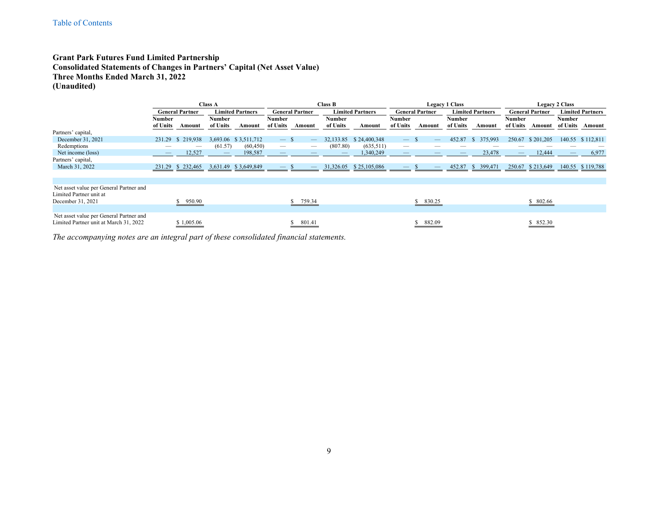## **Grant Park Futures Fund Limited Partnership Consolidated Statements of Changes in Partners' Capital (Net Asset Value) Three Months Ended March 31, 2022 (Unaudited)**

<span id="page-9-0"></span>

|                                         |          |                        | <b>Class A</b>           |                         |                          |                                 | <b>Class B</b> |                         | <b>Legacy 1 Class</b>    |                        |               |                         | <b>Legacy 2 Class</b> |                        |        |                         |
|-----------------------------------------|----------|------------------------|--------------------------|-------------------------|--------------------------|---------------------------------|----------------|-------------------------|--------------------------|------------------------|---------------|-------------------------|-----------------------|------------------------|--------|-------------------------|
|                                         |          | <b>General Partner</b> |                          | <b>Limited Partners</b> |                          | <b>General Partner</b>          |                | <b>Limited Partners</b> |                          | <b>General Partner</b> |               | <b>Limited Partners</b> |                       | <b>General Partner</b> |        | <b>Limited Partners</b> |
|                                         | Number   |                        | Number                   |                         | Number                   |                                 | Number         |                         | Number                   |                        | <b>Number</b> |                         | Number                |                        | Number |                         |
|                                         | of Units | Amount                 | of Units                 | Amount                  | of Units                 | Amount                          | of Units       | Amount                  | of Units                 | Amount                 | of Units      | Amount                  | of Units              | Amount                 |        | of Units Amount         |
| Partners' capital,                      |          |                        |                          |                         |                          |                                 |                |                         |                          |                        |               |                         |                       |                        |        |                         |
| December 31, 2021                       | 231.29   | \$219,938              |                          | 3,693.06 \$3,511,712    | $-$ s                    | $\qquad \qquad \longleftarrow$  | 32,133.85      | \$24,400,348            |                          |                        | 452.87        | 375,993<br>- 55         | 250.67                | \$201,205              |        | 140.55 \$112,811        |
| Redemptions                             |          |                        | (61.57)                  | (60, 450)               |                          |                                 | (807.80)       | (635, 511)              |                          |                        |               |                         |                       |                        |        |                         |
| Net income (loss)                       |          | 12,527                 | $\overline{\phantom{a}}$ | 198,587                 | $\overline{\phantom{a}}$ |                                 |                | 1,340,249               |                          |                        |               | 23,478                  | $-$                   | 12,444                 |        | 6,977                   |
| Partners' capital,                      |          |                        |                          |                         |                          |                                 |                |                         |                          |                        |               |                         |                       |                        |        |                         |
| March 31, 2022                          |          | 231.29 \$ 232,465      |                          | 3,631.49 \$3,649,849    |                          | $\hspace{0.1mm}-\hspace{0.1mm}$ | 31,326.05      | \$25,105,086            | $\qquad \qquad - \qquad$ |                        | 452.87        | 399,471<br>- 55         | 250.67                | \$213,649              |        | 140.55 \$119,788        |
|                                         |          |                        |                          |                         |                          |                                 |                |                         |                          |                        |               |                         |                       |                        |        |                         |
|                                         |          |                        |                          |                         |                          |                                 |                |                         |                          |                        |               |                         |                       |                        |        |                         |
| Net asset value per General Partner and |          |                        |                          |                         |                          |                                 |                |                         |                          |                        |               |                         |                       |                        |        |                         |
| Limited Partner unit at                 |          |                        |                          |                         |                          |                                 |                |                         |                          |                        |               |                         |                       |                        |        |                         |
| December 31, 2021                       |          | \$950.90               |                          |                         |                          | 759.34                          |                |                         |                          | 830.25                 |               |                         |                       | \$ 802.66              |        |                         |
|                                         |          |                        |                          |                         |                          |                                 |                |                         |                          |                        |               |                         |                       |                        |        |                         |
| Net asset value per General Partner and |          |                        |                          |                         |                          |                                 |                |                         |                          |                        |               |                         |                       |                        |        |                         |
| Limited Partner unit at March 31, 2022  |          | \$1,005.06             |                          |                         |                          | 801.41                          |                |                         |                          | 882.09                 |               |                         |                       | \$ 852.30              |        |                         |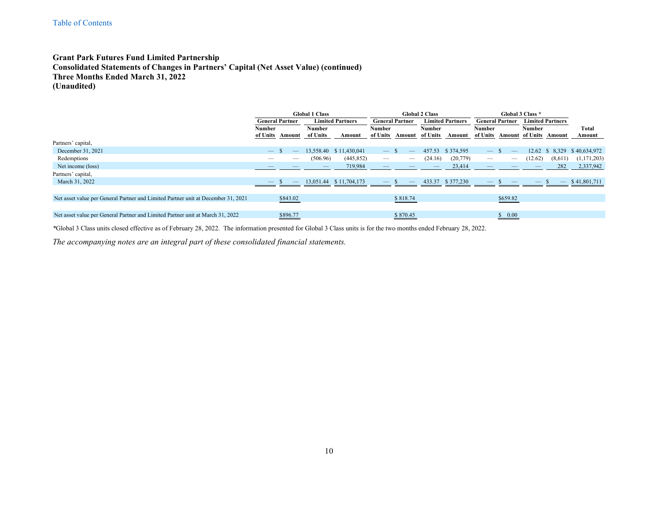## **Grant Park Futures Fund Limited Partnership Consolidated Statements of Changes in Partners' Capital (Net Asset Value) (continued) Three Months Ended March 31, 2022 (Unaudited)**

|                                                                                   | <b>Global 1 Class</b>    |          |                          |                         | <b>Global 2 Class</b>    |                                |          |                         | Global 3 Class *       |                          |                         |                               |               |
|-----------------------------------------------------------------------------------|--------------------------|----------|--------------------------|-------------------------|--------------------------|--------------------------------|----------|-------------------------|------------------------|--------------------------|-------------------------|-------------------------------|---------------|
|                                                                                   | <b>General Partner</b>   |          |                          | <b>Limited Partners</b> |                          | <b>General Partner</b>         |          | <b>Limited Partners</b> | <b>General Partner</b> |                          | <b>Limited Partners</b> |                               |               |
|                                                                                   | Number                   |          | <b>Number</b>            |                         |                          | <b>Number</b>                  |          |                         | <b>Number</b>          |                          | Number                  |                               | Total         |
|                                                                                   | of Units                 | Amount   | of Units                 | Amount                  | of Units                 | Amount                         | of Units | Amount                  | of Units               |                          |                         | <b>Amount of Units Amount</b> | Amount        |
| Partners' capital,                                                                |                          |          |                          |                         |                          |                                |          |                         |                        |                          |                         |                               |               |
| December 31, 2021                                                                 | $\overline{\phantom{m}}$ |          |                          | 13,558.40 \$11,430,041  | $\overline{\phantom{m}}$ |                                | 457.53   | \$374,595               |                        |                          | 12.62                   | 8.329                         | \$40,634,972  |
| Redemptions                                                                       |                          |          | (506.96)                 | (445, 852)              |                          | $\hspace{0.05cm}$              | (24.16)  | (20, 779)               |                        | $\overline{\phantom{0}}$ | (12.62)                 | (8,611)                       | (1, 171, 203) |
| Net income (loss)                                                                 |                          |          | $\overline{\phantom{m}}$ | 719,984                 |                          |                                |          | 23,414                  |                        |                          |                         | 282                           | 2,337,942     |
| Partners' capital,                                                                |                          |          |                          |                         |                          |                                |          |                         |                        |                          |                         |                               |               |
| March 31, 2022                                                                    |                          |          |                          | 13,051.44 \$11,704,173  |                          | $\qquad \qquad \longleftarrow$ | 433.37   | \$377,230               |                        |                          |                         |                               | \$41,801,711  |
|                                                                                   |                          |          |                          |                         |                          |                                |          |                         |                        |                          |                         |                               |               |
| Net asset value per General Partner and Limited Partner unit at December 31, 2021 |                          | \$843.02 |                          |                         |                          | \$818.74                       |          |                         |                        | \$659.82                 |                         |                               |               |
|                                                                                   |                          |          |                          |                         |                          |                                |          |                         |                        |                          |                         |                               |               |
| Net asset value per General Partner and Limited Partner unit at March 31, 2022    |                          | \$896.77 |                          |                         |                          | \$870.45                       |          |                         |                        | 0.00<br>\$               |                         |                               |               |

*\**Global 3 Class units closed effective as of February 28, 2022. The information presented for Global 3 Class units is for the two months ended February 28, 2022.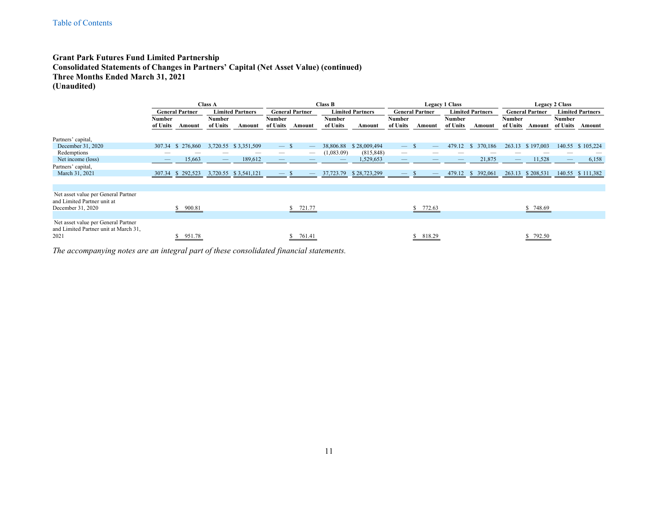## **Grant Park Futures Fund Limited Partnership Consolidated Statements of Changes in Partners' Capital (Net Asset Value) (continued) Three Months Ended March 31, 2021 (Unaudited)**

|                                                                              |                                |                        | <b>Class A</b>                 |                         | <b>Class B</b>    |                                           |                   |                         | <b>Legacy 1 Class</b>          |                          |               |                         | <b>Legacy 2 Class</b>    |                        |                                |                         |
|------------------------------------------------------------------------------|--------------------------------|------------------------|--------------------------------|-------------------------|-------------------|-------------------------------------------|-------------------|-------------------------|--------------------------------|--------------------------|---------------|-------------------------|--------------------------|------------------------|--------------------------------|-------------------------|
|                                                                              |                                | <b>General Partner</b> |                                | <b>Limited Partners</b> |                   | <b>General Partner</b>                    |                   | <b>Limited Partners</b> |                                | <b>General Partner</b>   |               | <b>Limited Partners</b> |                          | <b>General Partner</b> |                                | <b>Limited Partners</b> |
|                                                                              | <b>Number</b>                  |                        | <b>Number</b>                  |                         | Number            |                                           | <b>Number</b>     |                         | Number                         |                          | <b>Number</b> |                         | Number                   |                        | <b>Number</b>                  |                         |
|                                                                              | of Units                       | Amount                 | of Units                       | Amount                  | of Units          | Amount                                    | of Units          | Amount                  | of Units                       | Amount                   | of Units      | Amount                  | of Units                 | Amount                 | of Units                       | Amount                  |
| Partners' capital,                                                           |                                |                        |                                |                         |                   |                                           |                   |                         |                                |                          |               |                         |                          |                        |                                |                         |
| December 31, 2020                                                            | 307.34                         | \$276,860              |                                | 3,720.55 \$3,351,509    | $-$ \$            | $\qquad \qquad \overline{\qquad \qquad }$ | 38,806.88         | \$28,009,494            | $\overline{\phantom{m}}$       | - S<br>$\qquad \qquad -$ | 479.12        | 370,186<br>-S           | 263.13                   | \$197,003              | 140.55                         | \$105,224               |
| Redemptions                                                                  | __                             |                        |                                |                         |                   |                                           | (1,083.09)        | (815, 848)              | $\hspace{0.05cm}$              |                          |               |                         |                          |                        |                                |                         |
| Net income (loss)                                                            | $\qquad \qquad \longleftarrow$ | 15,663                 | $\qquad \qquad \longleftarrow$ | 189,612                 | $\qquad \qquad -$ |                                           | $\qquad \qquad -$ | 1,529,653               | $\qquad \qquad \longleftarrow$ | $\qquad \qquad -$        |               | 21,875                  | $\overline{\phantom{m}}$ | 11,528                 | $\qquad \qquad \longleftarrow$ | 6,158                   |
| Partners' capital,                                                           |                                |                        |                                |                         |                   |                                           |                   |                         |                                |                          |               |                         |                          |                        |                                |                         |
| March 31, 2021                                                               | 307.34                         | 292,523                |                                | 3,720.55 \$3,541,121    |                   | $\overline{\phantom{0}}$                  | 37,723.79         | \$28,723,299            | $\qquad \qquad - \qquad$       |                          | 479.12        | 392,061<br>-80          | 263.13                   | \$208,531              | 140.55                         | \$111,382               |
|                                                                              |                                |                        |                                |                         |                   |                                           |                   |                         |                                |                          |               |                         |                          |                        |                                |                         |
|                                                                              |                                |                        |                                |                         |                   |                                           |                   |                         |                                |                          |               |                         |                          |                        |                                |                         |
| Net asset value per General Partner<br>and Limited Partner unit at           |                                |                        |                                |                         |                   |                                           |                   |                         |                                |                          |               |                         |                          |                        |                                |                         |
| December 31, 2020                                                            |                                | \$900.81               |                                |                         |                   | 721.77                                    |                   |                         |                                | \$772.63                 |               |                         |                          | \$748.69               |                                |                         |
|                                                                              |                                |                        |                                |                         |                   |                                           |                   |                         |                                |                          |               |                         |                          |                        |                                |                         |
| Net asset value per General Partner<br>and Limited Partner unit at March 31, |                                |                        |                                |                         |                   |                                           |                   |                         |                                |                          |               |                         |                          |                        |                                |                         |
| 2021                                                                         |                                | 951.78                 |                                |                         |                   | 761.41                                    |                   |                         |                                | 818.29                   |               |                         |                          | 792.50                 |                                |                         |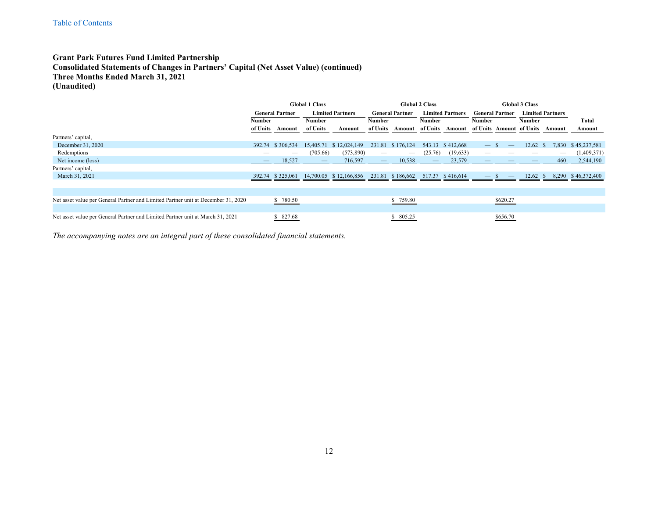## **Grant Park Futures Fund Limited Partnership Consolidated Statements of Changes in Partners' Capital (Net Asset Value) (continued) Three Months Ended March 31, 2021 (Unaudited)**

|                                                                                   | <b>Global 1 Class</b> |                        |                                 |                         | <b>Global 2 Class</b>           |                          |                         |                  | <b>Global 3 Class</b>    |                          |                          |                         |              |
|-----------------------------------------------------------------------------------|-----------------------|------------------------|---------------------------------|-------------------------|---------------------------------|--------------------------|-------------------------|------------------|--------------------------|--------------------------|--------------------------|-------------------------|--------------|
|                                                                                   |                       | <b>General Partner</b> |                                 | <b>Limited Partners</b> | <b>General Partner</b>          |                          | <b>Limited Partners</b> |                  | <b>General Partner</b>   |                          |                          | <b>Limited Partners</b> |              |
|                                                                                   | Number                |                        |                                 | <b>Number</b>           |                                 | Number                   |                         | <b>Number</b>    |                          |                          | <b>Number</b>            |                         | Total        |
|                                                                                   | of Units              | Amount                 | of Units                        | Amount                  | of Units                        | Amount                   | of Units                | Amount           |                          |                          | of Units Amount of Units | Amount                  | Amount       |
| Partners' capital,                                                                |                       |                        |                                 |                         |                                 |                          |                         |                  |                          |                          |                          |                         |              |
| December 31, 2020                                                                 | 392.74                | \$306,534              |                                 | 15,405.71 \$12,024,149  |                                 | 231.81 \$176,124         |                         | 543.13 \$412,668 | $-$ S                    | $\overline{\phantom{m}}$ | $12.62 \text{ }$ \$      | 7,830                   | \$45,237,581 |
| Redemptions                                                                       | $\qquad \qquad$       | $\hspace{0.05cm}$      | (705.66)                        | (573,890)               | $\hspace{0.1mm}-\hspace{0.1mm}$ | $\overline{\phantom{a}}$ | (25.76)                 | (19, 633)        | $\overline{\phantom{a}}$ |                          |                          |                         | (1,409,371)  |
| Net income (loss)                                                                 |                       | 18,527                 | $\hspace{0.1mm}-\hspace{0.1mm}$ | 716,597                 | $\overline{\phantom{m}}$        | 10,538                   |                         | 23,579           |                          |                          |                          | 460                     | 2,544,190    |
| Partners' capital,                                                                |                       |                        |                                 |                         |                                 |                          |                         |                  |                          |                          |                          |                         |              |
| March 31, 2021                                                                    | 392.74                | \$325,061              |                                 | 14.700.05 \$12.166.856  |                                 | 231.81 \$186,662         |                         | 517.37 \$416,614 |                          |                          | 12.62                    | 8,290                   | \$46,372,400 |
|                                                                                   |                       |                        |                                 |                         |                                 |                          |                         |                  |                          |                          |                          |                         |              |
|                                                                                   |                       |                        |                                 |                         |                                 |                          |                         |                  |                          |                          |                          |                         |              |
| Net asset value per General Partner and Limited Partner unit at December 31, 2020 |                       | \$780.50               |                                 |                         |                                 | \$759.80                 |                         |                  |                          | \$620.27                 |                          |                         |              |
|                                                                                   |                       |                        |                                 |                         |                                 |                          |                         |                  |                          |                          |                          |                         |              |
| Net asset value per General Partner and Limited Partner unit at March 31, 2021    |                       | \$827.68               |                                 |                         |                                 | \$ 805.25                |                         |                  |                          | \$656.70                 |                          |                         |              |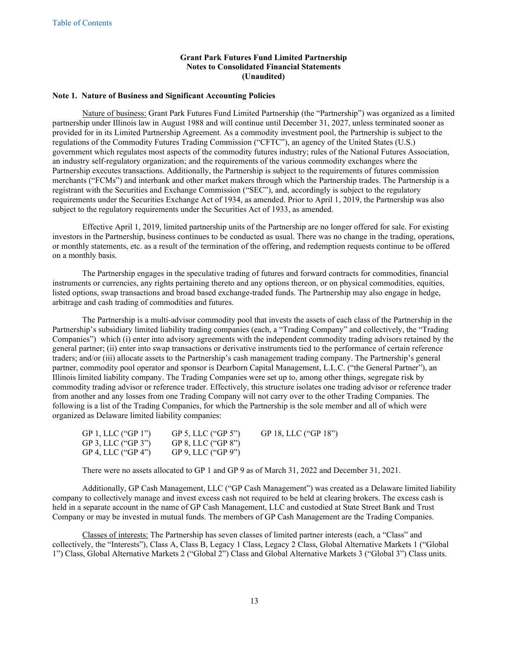#### <span id="page-13-0"></span>**Note 1. Nature of Business and Significant Accounting Policies**

Nature of business: Grant Park Futures Fund Limited Partnership (the "Partnership") was organized as a limited partnership under Illinois law in August 1988 and will continue until December 31, 2027, unless terminated sooner as provided for in its Limited Partnership Agreement. As a commodity investment pool, the Partnership is subject to the regulations of the Commodity Futures Trading Commission ("CFTC"), an agency of the United States (U.S.) government which regulates most aspects of the commodity futures industry; rules of the National Futures Association, an industry self-regulatory organization; and the requirements of the various commodity exchanges where the Partnership executes transactions. Additionally, the Partnership is subject to the requirements of futures commission merchants ("FCMs") and interbank and other market makers through which the Partnership trades. The Partnership is a registrant with the Securities and Exchange Commission ("SEC"), and, accordingly is subject to the regulatory requirements under the Securities Exchange Act of 1934, as amended. Prior to April 1, 2019, the Partnership was also subject to the regulatory requirements under the Securities Act of 1933, as amended.

Effective April 1, 2019, limited partnership units of the Partnership are no longer offered for sale. For existing investors in the Partnership, business continues to be conducted as usual. There was no change in the trading, operations, or monthly statements, etc. as a result of the termination of the offering, and redemption requests continue to be offered on a monthly basis.

The Partnership engages in the speculative trading of futures and forward contracts for commodities, financial instruments or currencies, any rights pertaining thereto and any options thereon, or on physical commodities, equities, listed options, swap transactions and broad based exchange-traded funds. The Partnership may also engage in hedge, arbitrage and cash trading of commodities and futures.

The Partnership is a multi-advisor commodity pool that invests the assets of each class of the Partnership in the Partnership's subsidiary limited liability trading companies (each, a "Trading Company" and collectively, the "Trading Companies") which (i) enter into advisory agreements with the independent commodity trading advisors retained by the general partner; (ii) enter into swap transactions or derivative instruments tied to the performance of certain reference traders; and/or (iii) allocate assets to the Partnership's cash management trading company. The Partnership's general partner, commodity pool operator and sponsor is Dearborn Capital Management, L.L.C. ("the General Partner"), an Illinois limited liability company. The Trading Companies were set up to, among other things, segregate risk by commodity trading advisor or reference trader. Effectively, this structure isolates one trading advisor or reference trader from another and any losses from one Trading Company will not carry over to the other Trading Companies. The following is a list of the Trading Companies, for which the Partnership is the sole member and all of which were organized as Delaware limited liability companies:

| GP 1, LLC ("GP 1") | GP 5, LLC ("GP 5") | GP 18, LLC ("GP 18") |
|--------------------|--------------------|----------------------|
| GP 3, LLC ("GP 3") | GP 8, LLC ("GP 8") |                      |
| GP 4, LLC ("GP 4") | GP 9, LLC ("GP 9") |                      |

There were no assets allocated to GP 1 and GP 9 as of March 31, 2022 and December 31, 2021.

Additionally, GP Cash Management, LLC ("GP Cash Management") was created as a Delaware limited liability company to collectively manage and invest excess cash not required to be held at clearing brokers. The excess cash is held in a separate account in the name of GP Cash Management, LLC and custodied at State Street Bank and Trust Company or may be invested in mutual funds. The members of GP Cash Management are the Trading Companies.

Classes of interests: The Partnership has seven classes of limited partner interests (each, a "Class" and collectively, the "Interests"), Class A, Class B, Legacy 1 Class, Legacy 2 Class, Global Alternative Markets 1 ("Global 1") Class, Global Alternative Markets 2 ("Global 2") Class and Global Alternative Markets 3 ("Global 3") Class units.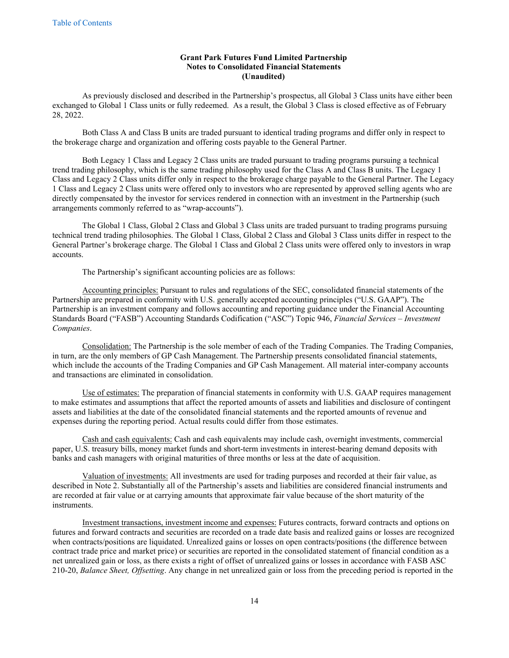As previously disclosed and described in the Partnership's prospectus, all Global 3 Class units have either been exchanged to Global 1 Class units or fully redeemed. As a result, the Global 3 Class is closed effective as of February 28, 2022.

Both Class A and Class B units are traded pursuant to identical trading programs and differ only in respect to the brokerage charge and organization and offering costs payable to the General Partner.

Both Legacy 1 Class and Legacy 2 Class units are traded pursuant to trading programs pursuing a technical trend trading philosophy, which is the same trading philosophy used for the Class A and Class B units. The Legacy 1 Class and Legacy 2 Class units differ only in respect to the brokerage charge payable to the General Partner. The Legacy 1 Class and Legacy 2 Class units were offered only to investors who are represented by approved selling agents who are directly compensated by the investor for services rendered in connection with an investment in the Partnership (such arrangements commonly referred to as "wrap-accounts").

The Global 1 Class, Global 2 Class and Global 3 Class units are traded pursuant to trading programs pursuing technical trend trading philosophies. The Global 1 Class, Global 2 Class and Global 3 Class units differ in respect to the General Partner's brokerage charge. The Global 1 Class and Global 2 Class units were offered only to investors in wrap accounts.

The Partnership's significant accounting policies are as follows:

Accounting principles: Pursuant to rules and regulations of the SEC, consolidated financial statements of the Partnership are prepared in conformity with U.S. generally accepted accounting principles ("U.S. GAAP"). The Partnership is an investment company and follows accounting and reporting guidance under the Financial Accounting Standards Board ("FASB") Accounting Standards Codification ("ASC") Topic 946, *Financial Services – Investment Companies*.

Consolidation: The Partnership is the sole member of each of the Trading Companies. The Trading Companies, in turn, are the only members of GP Cash Management. The Partnership presents consolidated financial statements, which include the accounts of the Trading Companies and GP Cash Management. All material inter-company accounts and transactions are eliminated in consolidation.

Use of estimates: The preparation of financial statements in conformity with U.S. GAAP requires management to make estimates and assumptions that affect the reported amounts of assets and liabilities and disclosure of contingent assets and liabilities at the date of the consolidated financial statements and the reported amounts of revenue and expenses during the reporting period. Actual results could differ from those estimates.

Cash and cash equivalents: Cash and cash equivalents may include cash, overnight investments, commercial paper, U.S. treasury bills, money market funds and short-term investments in interest-bearing demand deposits with banks and cash managers with original maturities of three months or less at the date of acquisition.

Valuation of investments: All investments are used for trading purposes and recorded at their fair value, as described in Note 2. Substantially all of the Partnership's assets and liabilities are considered financial instruments and are recorded at fair value or at carrying amounts that approximate fair value because of the short maturity of the instruments.

Investment transactions, investment income and expenses: Futures contracts, forward contracts and options on futures and forward contracts and securities are recorded on a trade date basis and realized gains or losses are recognized when contracts/positions are liquidated. Unrealized gains or losses on open contracts/positions (the difference between contract trade price and market price) or securities are reported in the consolidated statement of financial condition as a net unrealized gain or loss, as there exists a right of offset of unrealized gains or losses in accordance with FASB ASC 210-20, *Balance Sheet, Offsetting*. Any change in net unrealized gain or loss from the preceding period is reported in the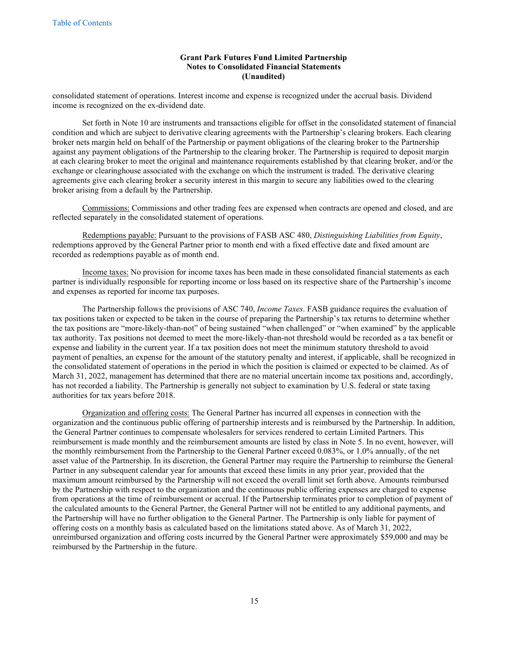consolidated statement of operations. Interest income and expense is recognized under the accrual basis. Dividend income is recognized on the ex-dividend date.

Set forth in Note 10 are instruments and transactions eligible for offset in the consolidated statement of financial condition and which are subject to derivative clearing agreements with the Partnership's clearing brokers. Each clearing broker nets margin held on behalf of the Partnership or payment obligations of the clearing broker to the Partnership against any payment obligations of the Partnership to the clearing broker. The Partnership is required to deposit margin at each clearing broker to meet the original and maintenance requirements established by that clearing broker, and/or the exchange or clearinghouse associated with the exchange on which the instrument is traded. The derivative clearing agreements give each clearing broker a security interest in this margin to secure any liabilities owed to the clearing broker arising from a default by the Partnership.

Commissions: Commissions and other trading fees are expensed when contracts are opened and closed, and are reflected separately in the consolidated statement of operations.

Redemptions payable: Pursuant to the provisions of FASB ASC 480, *Distinguishing Liabilities from Equity*, redemptions approved by the General Partner prior to month end with a fixed effective date and fixed amount are recorded as redemptions payable as of month end.

Income taxes: No provision for income taxes has been made in these consolidated financial statements as each partner is individually responsible for reporting income or loss based on its respective share of the Partnership's income and expenses as reported for income tax purposes.

The Partnership follows the provisions of ASC 740, *Income Taxes*. FASB guidance requires the evaluation of tax positions taken or expected to be taken in the course of preparing the Partnership's tax returns to determine whether the tax positions are "more-likely-than-not" of being sustained "when challenged" or "when examined" by the applicable tax authority. Tax positions not deemed to meet the more-likely-than-not threshold would be recorded as a tax benefit or expense and liability in the current year. If a tax position does not meet the minimum statutory threshold to avoid payment of penalties, an expense for the amount of the statutory penalty and interest, if applicable, shall be recognized in the consolidated statement of operations in the period in which the position is claimed or expected to be claimed. As of March 31, 2022, management has determined that there are no material uncertain income tax positions and, accordingly, has not recorded a liability. The Partnership is generally not subject to examination by U.S. federal or state taxing authorities for tax years before 2018.

Organization and offering costs: The General Partner has incurred all expenses in connection with the organization and the continuous public offering of partnership interests and is reimbursed by the Partnership. In addition, the General Partner continues to compensate wholesalers for services rendered to certain Limited Partners. This reimbursement is made monthly and the reimbursement amounts are listed by class in Note 5. In no event, however, will the monthly reimbursement from the Partnership to the General Partner exceed 0.083%, or 1.0% annually, of the net asset value of the Partnership. In its discretion, the General Partner may require the Partnership to reimburse the General Partner in any subsequent calendar year for amounts that exceed these limits in any prior year, provided that the maximum amount reimbursed by the Partnership will not exceed the overall limit set forth above. Amounts reimbursed by the Partnership with respect to the organization and the continuous public offering expenses are charged to expense from operations at the time of reimbursement or accrual. If the Partnership terminates prior to completion of payment of the calculated amounts to the General Partner, the General Partner will not be entitled to any additional payments, and the Partnership will have no further obligation to the General Partner. The Partnership is only liable for payment of offering costs on a monthly basis as calculated based on the limitations stated above. As of March 31, 2022, unreimbursed organization and offering costs incurred by the General Partner were approximately \$59,000 and may be reimbursed by the Partnership in the future.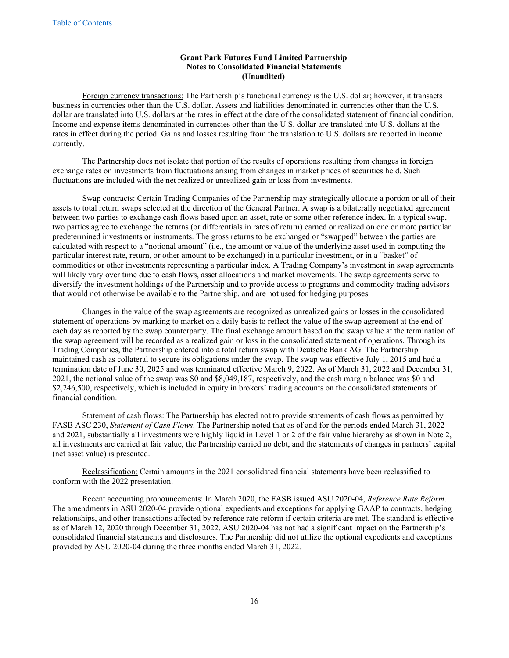Foreign currency transactions: The Partnership's functional currency is the U.S. dollar; however, it transacts business in currencies other than the U.S. dollar. Assets and liabilities denominated in currencies other than the U.S. dollar are translated into U.S. dollars at the rates in effect at the date of the consolidated statement of financial condition. Income and expense items denominated in currencies other than the U.S. dollar are translated into U.S. dollars at the rates in effect during the period. Gains and losses resulting from the translation to U.S. dollars are reported in income currently.

The Partnership does not isolate that portion of the results of operations resulting from changes in foreign exchange rates on investments from fluctuations arising from changes in market prices of securities held. Such fluctuations are included with the net realized or unrealized gain or loss from investments.

Swap contracts: Certain Trading Companies of the Partnership may strategically allocate a portion or all of their assets to total return swaps selected at the direction of the General Partner. A swap is a bilaterally negotiated agreement between two parties to exchange cash flows based upon an asset, rate or some other reference index. In a typical swap, two parties agree to exchange the returns (or differentials in rates of return) earned or realized on one or more particular predetermined investments or instruments. The gross returns to be exchanged or "swapped" between the parties are calculated with respect to a "notional amount" (i.e., the amount or value of the underlying asset used in computing the particular interest rate, return, or other amount to be exchanged) in a particular investment, or in a "basket" of commodities or other investments representing a particular index. A Trading Company's investment in swap agreements will likely vary over time due to cash flows, asset allocations and market movements. The swap agreements serve to diversify the investment holdings of the Partnership and to provide access to programs and commodity trading advisors that would not otherwise be available to the Partnership, and are not used for hedging purposes.

Changes in the value of the swap agreements are recognized as unrealized gains or losses in the consolidated statement of operations by marking to market on a daily basis to reflect the value of the swap agreement at the end of each day as reported by the swap counterparty. The final exchange amount based on the swap value at the termination of the swap agreement will be recorded as a realized gain or loss in the consolidated statement of operations. Through its Trading Companies, the Partnership entered into a total return swap with Deutsche Bank AG. The Partnership maintained cash as collateral to secure its obligations under the swap. The swap was effective July 1, 2015 and had a termination date of June 30, 2025 and was terminated effective March 9, 2022. As of March 31, 2022 and December 31, 2021, the notional value of the swap was \$0 and \$8,049,187, respectively, and the cash margin balance was \$0 and \$2,246,500, respectively, which is included in equity in brokers' trading accounts on the consolidated statements of financial condition.

Statement of cash flows: The Partnership has elected not to provide statements of cash flows as permitted by FASB ASC 230, *Statement of Cash Flows*. The Partnership noted that as of and for the periods ended March 31, 2022 and 2021, substantially all investments were highly liquid in Level 1 or 2 of the fair value hierarchy as shown in Note 2, all investments are carried at fair value, the Partnership carried no debt, and the statements of changes in partners' capital (net asset value) is presented.

Reclassification: Certain amounts in the 2021 consolidated financial statements have been reclassified to conform with the 2022 presentation.

Recent accounting pronouncements: In March 2020, the FASB issued ASU 2020-04, *Reference Rate Reform*. The amendments in ASU 2020-04 provide optional expedients and exceptions for applying GAAP to contracts, hedging relationships, and other transactions affected by reference rate reform if certain criteria are met. The standard is effective as of March 12, 2020 through December 31, 2022. ASU 2020-04 has not had a significant impact on the Partnership's consolidated financial statements and disclosures. The Partnership did not utilize the optional expedients and exceptions provided by ASU 2020-04 during the three months ended March 31, 2022.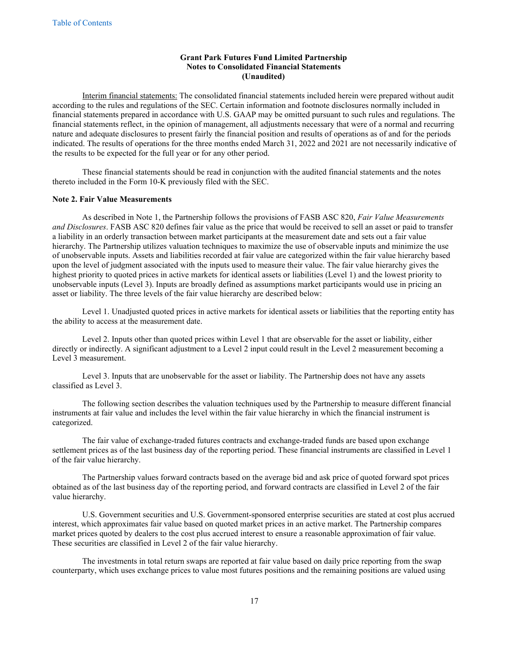Interim financial statements: The consolidated financial statements included herein were prepared without audit according to the rules and regulations of the SEC. Certain information and footnote disclosures normally included in financial statements prepared in accordance with U.S. GAAP may be omitted pursuant to such rules and regulations. The financial statements reflect, in the opinion of management, all adjustments necessary that were of a normal and recurring nature and adequate disclosures to present fairly the financial position and results of operations as of and for the periods indicated. The results of operations for the three months ended March 31, 2022 and 2021 are not necessarily indicative of the results to be expected for the full year or for any other period.

These financial statements should be read in conjunction with the audited financial statements and the notes thereto included in the Form 10-K previously filed with the SEC.

#### **Note 2. Fair Value Measurements**

As described in Note 1, the Partnership follows the provisions of FASB ASC 820, *Fair Value Measurements and Disclosures*. FASB ASC 820 defines fair value as the price that would be received to sell an asset or paid to transfer a liability in an orderly transaction between market participants at the measurement date and sets out a fair value hierarchy. The Partnership utilizes valuation techniques to maximize the use of observable inputs and minimize the use of unobservable inputs. Assets and liabilities recorded at fair value are categorized within the fair value hierarchy based upon the level of judgment associated with the inputs used to measure their value. The fair value hierarchy gives the highest priority to quoted prices in active markets for identical assets or liabilities (Level 1) and the lowest priority to unobservable inputs (Level 3). Inputs are broadly defined as assumptions market participants would use in pricing an asset or liability. The three levels of the fair value hierarchy are described below:

Level 1. Unadjusted quoted prices in active markets for identical assets or liabilities that the reporting entity has the ability to access at the measurement date.

Level 2. Inputs other than quoted prices within Level 1 that are observable for the asset or liability, either directly or indirectly. A significant adjustment to a Level 2 input could result in the Level 2 measurement becoming a Level 3 measurement.

Level 3. Inputs that are unobservable for the asset or liability. The Partnership does not have any assets classified as Level 3.

The following section describes the valuation techniques used by the Partnership to measure different financial instruments at fair value and includes the level within the fair value hierarchy in which the financial instrument is categorized.

The fair value of exchange-traded futures contracts and exchange-traded funds are based upon exchange settlement prices as of the last business day of the reporting period. These financial instruments are classified in Level 1 of the fair value hierarchy.

The Partnership values forward contracts based on the average bid and ask price of quoted forward spot prices obtained as of the last business day of the reporting period, and forward contracts are classified in Level 2 of the fair value hierarchy.

U.S. Government securities and U.S. Government-sponsored enterprise securities are stated at cost plus accrued interest, which approximates fair value based on quoted market prices in an active market. The Partnership compares market prices quoted by dealers to the cost plus accrued interest to ensure a reasonable approximation of fair value. These securities are classified in Level 2 of the fair value hierarchy.

The investments in total return swaps are reported at fair value based on daily price reporting from the swap counterparty, which uses exchange prices to value most futures positions and the remaining positions are valued using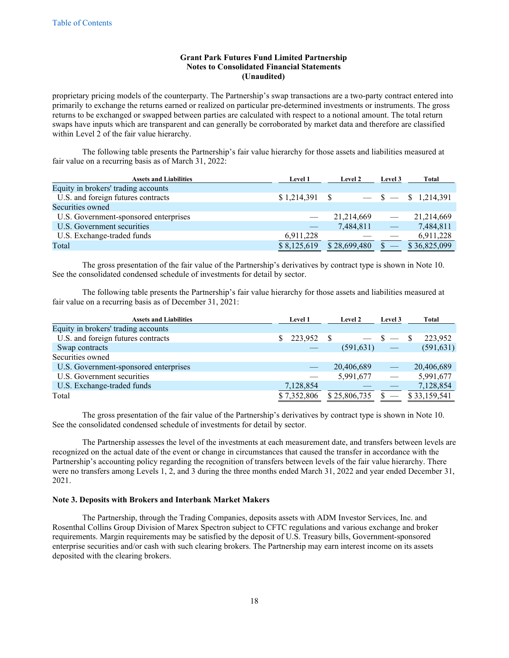proprietary pricing models of the counterparty. The Partnership's swap transactions are a two-party contract entered into primarily to exchange the returns earned or realized on particular pre-determined investments or instruments. The gross returns to be exchanged or swapped between parties are calculated with respect to a notional amount. The total return swaps have inputs which are transparent and can generally be corroborated by market data and therefore are classified within Level 2 of the fair value hierarchy.

The following table presents the Partnership's fair value hierarchy for those assets and liabilities measured at fair value on a recurring basis as of March 31, 2022:

| <b>Assets and Liabilities</b>         | <b>Level 1</b> | Level 2      | Level 3                  | <b>Total</b>            |
|---------------------------------------|----------------|--------------|--------------------------|-------------------------|
| Equity in brokers' trading accounts   |                |              |                          |                         |
| U.S. and foreign futures contracts    |                |              |                          | $-$ \$ $-$ \$ 1,214,391 |
| Securities owned                      |                |              |                          |                         |
| U.S. Government-sponsored enterprises |                | 21, 214, 669 | $\overline{\phantom{a}}$ | 21,214,669              |
| U.S. Government securities            |                | 7,484,811    | $\hspace{0.05cm}$        | 7,484,811               |
| U.S. Exchange-traded funds            | 6,911,228      |              |                          | 6,911,228               |
| Total                                 | \$8,125,619    | \$28,699,480 |                          | \$36,825,099            |

The gross presentation of the fair value of the Partnership's derivatives by contract type is shown in Note 10. See the consolidated condensed schedule of investments for detail by sector.

The following table presents the Partnership's fair value hierarchy for those assets and liabilities measured at fair value on a recurring basis as of December 31, 2021:

| <b>Assets and Liabilities</b>         | <b>Level 1</b> | <b>Level 2</b> | Level 3                         | Total        |
|---------------------------------------|----------------|----------------|---------------------------------|--------------|
| Equity in brokers' trading accounts   |                |                |                                 |              |
| U.S. and foreign futures contracts    | $$223,952$ \,  |                | $\mathbb{S}$ —                  | 223,952      |
| Swap contracts                        |                | (591, 631)     |                                 | (591, 631)   |
| Securities owned                      |                |                |                                 |              |
| U.S. Government-sponsored enterprises |                | 20,406,689     | $\hspace{0.1mm}-\hspace{0.1mm}$ | 20,406,689   |
| U.S. Government securities            |                | 5,991,677      |                                 | 5,991,677    |
| U.S. Exchange-traded funds            | 7,128,854      |                |                                 | 7,128,854    |
| Total                                 | \$7,352,806    | \$25,806,735   |                                 | \$33,159,541 |

The gross presentation of the fair value of the Partnership's derivatives by contract type is shown in Note 10. See the consolidated condensed schedule of investments for detail by sector.

The Partnership assesses the level of the investments at each measurement date, and transfers between levels are recognized on the actual date of the event or change in circumstances that caused the transfer in accordance with the Partnership's accounting policy regarding the recognition of transfers between levels of the fair value hierarchy. There were no transfers among Levels 1, 2, and 3 during the three months ended March 31, 2022 and year ended December 31, 2021.

#### **Note 3. Deposits with Brokers and Interbank Market Makers**

The Partnership, through the Trading Companies, deposits assets with ADM Investor Services, Inc. and Rosenthal Collins Group Division of Marex Spectron subject to CFTC regulations and various exchange and broker requirements. Margin requirements may be satisfied by the deposit of U.S. Treasury bills, Government-sponsored enterprise securities and/or cash with such clearing brokers. The Partnership may earn interest income on its assets deposited with the clearing brokers.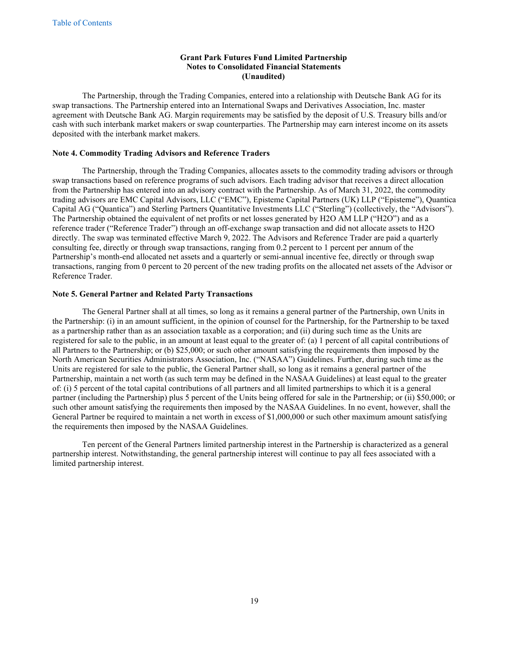The Partnership, through the Trading Companies, entered into a relationship with Deutsche Bank AG for its swap transactions. The Partnership entered into an International Swaps and Derivatives Association, Inc. master agreement with Deutsche Bank AG. Margin requirements may be satisfied by the deposit of U.S. Treasury bills and/or cash with such interbank market makers or swap counterparties. The Partnership may earn interest income on its assets deposited with the interbank market makers.

## **Note 4. Commodity Trading Advisors and Reference Traders**

The Partnership, through the Trading Companies, allocates assets to the commodity trading advisors or through swap transactions based on reference programs of such advisors. Each trading advisor that receives a direct allocation from the Partnership has entered into an advisory contract with the Partnership. As of March 31, 2022, the commodity trading advisors are EMC Capital Advisors, LLC ("EMC"), Episteme Capital Partners (UK) LLP ("Episteme"), Quantica Capital AG ("Quantica") and Sterling Partners Quantitative Investments LLC ("Sterling") (collectively, the "Advisors"). The Partnership obtained the equivalent of net profits or net losses generated by H2O AM LLP ("H2O") and as a reference trader ("Reference Trader") through an off-exchange swap transaction and did not allocate assets to H2O directly. The swap was terminated effective March 9, 2022. The Advisors and Reference Trader are paid a quarterly consulting fee, directly or through swap transactions, ranging from 0.2 percent to 1 percent per annum of the Partnership's month-end allocated net assets and a quarterly or semi-annual incentive fee, directly or through swap transactions, ranging from 0 percent to 20 percent of the new trading profits on the allocated net assets of the Advisor or Reference Trader.

#### **Note 5. General Partner and Related Party Transactions**

The General Partner shall at all times, so long as it remains a general partner of the Partnership, own Units in the Partnership: (i) in an amount sufficient, in the opinion of counsel for the Partnership, for the Partnership to be taxed as a partnership rather than as an association taxable as a corporation; and (ii) during such time as the Units are registered for sale to the public, in an amount at least equal to the greater of: (a) 1 percent of all capital contributions of all Partners to the Partnership; or (b) \$25,000; or such other amount satisfying the requirements then imposed by the North American Securities Administrators Association, Inc. ("NASAA") Guidelines. Further, during such time as the Units are registered for sale to the public, the General Partner shall, so long as it remains a general partner of the Partnership, maintain a net worth (as such term may be defined in the NASAA Guidelines) at least equal to the greater of: (i) 5 percent of the total capital contributions of all partners and all limited partnerships to which it is a general partner (including the Partnership) plus 5 percent of the Units being offered for sale in the Partnership; or (ii) \$50,000; or such other amount satisfying the requirements then imposed by the NASAA Guidelines. In no event, however, shall the General Partner be required to maintain a net worth in excess of \$1,000,000 or such other maximum amount satisfying the requirements then imposed by the NASAA Guidelines.

Ten percent of the General Partners limited partnership interest in the Partnership is characterized as a general partnership interest. Notwithstanding, the general partnership interest will continue to pay all fees associated with a limited partnership interest.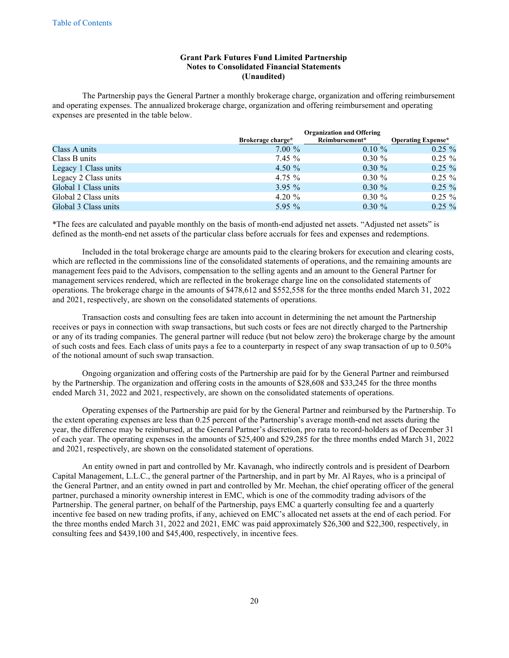The Partnership pays the General Partner a monthly brokerage charge, organization and offering reimbursement and operating expenses. The annualized brokerage charge, organization and offering reimbursement and operating expenses are presented in the table below.

|                      |                   | <b>Organization and Offering</b> |                           |  |  |  |  |  |  |
|----------------------|-------------------|----------------------------------|---------------------------|--|--|--|--|--|--|
|                      | Brokerage charge* | Reimbursement*                   | <b>Operating Expense*</b> |  |  |  |  |  |  |
| Class A units        | $7.00\%$          | $0.10 \%$                        | $0.25 \%$                 |  |  |  |  |  |  |
| Class B units        | 7.45%             | $0.30 \%$                        | $0.25 \%$                 |  |  |  |  |  |  |
| Legacy 1 Class units | 4.50 $%$          | $0.30 \%$                        | $0.25 \%$                 |  |  |  |  |  |  |
| Legacy 2 Class units | 4.75 $\%$         | $0.30 \%$                        | $0.25 \%$                 |  |  |  |  |  |  |
| Global 1 Class units | $3.95\%$          | $0.30 \%$                        | $0.25 \%$                 |  |  |  |  |  |  |
| Global 2 Class units | 4.20 $%$          | $0.30 \%$                        | $0.25 \%$                 |  |  |  |  |  |  |
| Global 3 Class units | 5.95 $\%$         | $0.30 \%$                        | $0.25 \%$                 |  |  |  |  |  |  |

\*The fees are calculated and payable monthly on the basis of month-end adjusted net assets. "Adjusted net assets" is defined as the month-end net assets of the particular class before accruals for fees and expenses and redemptions.

Included in the total brokerage charge are amounts paid to the clearing brokers for execution and clearing costs, which are reflected in the commissions line of the consolidated statements of operations, and the remaining amounts are management fees paid to the Advisors, compensation to the selling agents and an amount to the General Partner for management services rendered, which are reflected in the brokerage charge line on the consolidated statements of operations. The brokerage charge in the amounts of \$478,612 and \$552,558 for the three months ended March 31, 2022 and 2021, respectively, are shown on the consolidated statements of operations.

Transaction costs and consulting fees are taken into account in determining the net amount the Partnership receives or pays in connection with swap transactions, but such costs or fees are not directly charged to the Partnership or any of its trading companies. The general partner will reduce (but not below zero) the brokerage charge by the amount of such costs and fees. Each class of units pays a fee to a counterparty in respect of any swap transaction of up to 0.50% of the notional amount of such swap transaction.

Ongoing organization and offering costs of the Partnership are paid for by the General Partner and reimbursed by the Partnership. The organization and offering costs in the amounts of \$28,608 and \$33,245 for the three months ended March 31, 2022 and 2021, respectively, are shown on the consolidated statements of operations.

Operating expenses of the Partnership are paid for by the General Partner and reimbursed by the Partnership. To the extent operating expenses are less than 0.25 percent of the Partnership's average month-end net assets during the year, the difference may be reimbursed, at the General Partner's discretion, pro rata to record-holders as of December 31 of each year. The operating expenses in the amounts of \$25,400 and \$29,285 for the three months ended March 31, 2022 and 2021, respectively, are shown on the consolidated statement of operations.

An entity owned in part and controlled by Mr. Kavanagh, who indirectly controls and is president of Dearborn Capital Management, L.L.C., the general partner of the Partnership, and in part by Mr. Al Rayes, who is a principal of the General Partner, and an entity owned in part and controlled by Mr. Meehan, the chief operating officer of the general partner, purchased a minority ownership interest in EMC, which is one of the commodity trading advisors of the Partnership. The general partner, on behalf of the Partnership, pays EMC a quarterly consulting fee and a quarterly incentive fee based on new trading profits, if any, achieved on EMC's allocated net assets at the end of each period. For the three months ended March 31, 2022 and 2021, EMC was paid approximately \$26,300 and \$22,300, respectively, in consulting fees and \$439,100 and \$45,400, respectively, in incentive fees.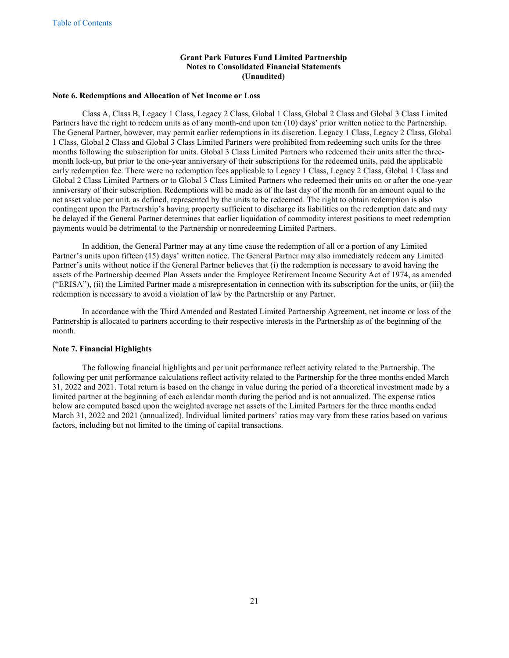#### **Note 6. Redemptions and Allocation of Net Income or Loss**

Class A, Class B, Legacy 1 Class, Legacy 2 Class, Global 1 Class, Global 2 Class and Global 3 Class Limited Partners have the right to redeem units as of any month-end upon ten (10) days' prior written notice to the Partnership. The General Partner, however, may permit earlier redemptions in its discretion. Legacy 1 Class, Legacy 2 Class, Global 1 Class, Global 2 Class and Global 3 Class Limited Partners were prohibited from redeeming such units for the three months following the subscription for units. Global 3 Class Limited Partners who redeemed their units after the threemonth lock-up, but prior to the one-year anniversary of their subscriptions for the redeemed units, paid the applicable early redemption fee. There were no redemption fees applicable to Legacy 1 Class, Legacy 2 Class, Global 1 Class and Global 2 Class Limited Partners or to Global 3 Class Limited Partners who redeemed their units on or after the one-year anniversary of their subscription. Redemptions will be made as of the last day of the month for an amount equal to the net asset value per unit, as defined, represented by the units to be redeemed. The right to obtain redemption is also contingent upon the Partnership's having property sufficient to discharge its liabilities on the redemption date and may be delayed if the General Partner determines that earlier liquidation of commodity interest positions to meet redemption payments would be detrimental to the Partnership or nonredeeming Limited Partners.

In addition, the General Partner may at any time cause the redemption of all or a portion of any Limited Partner's units upon fifteen (15) days' written notice. The General Partner may also immediately redeem any Limited Partner's units without notice if the General Partner believes that (i) the redemption is necessary to avoid having the assets of the Partnership deemed Plan Assets under the Employee Retirement Income Security Act of 1974, as amended ("ERISA"), (ii) the Limited Partner made a misrepresentation in connection with its subscription for the units, or (iii) the redemption is necessary to avoid a violation of law by the Partnership or any Partner.

In accordance with the Third Amended and Restated Limited Partnership Agreement, net income or loss of the Partnership is allocated to partners according to their respective interests in the Partnership as of the beginning of the month.

#### **Note 7. Financial Highlights**

The following financial highlights and per unit performance reflect activity related to the Partnership. The following per unit performance calculations reflect activity related to the Partnership for the three months ended March 31, 2022 and 2021. Total return is based on the change in value during the period of a theoretical investment made by a limited partner at the beginning of each calendar month during the period and is not annualized. The expense ratios below are computed based upon the weighted average net assets of the Limited Partners for the three months ended March 31, 2022 and 2021 (annualized). Individual limited partners' ratios may vary from these ratios based on various factors, including but not limited to the timing of capital transactions.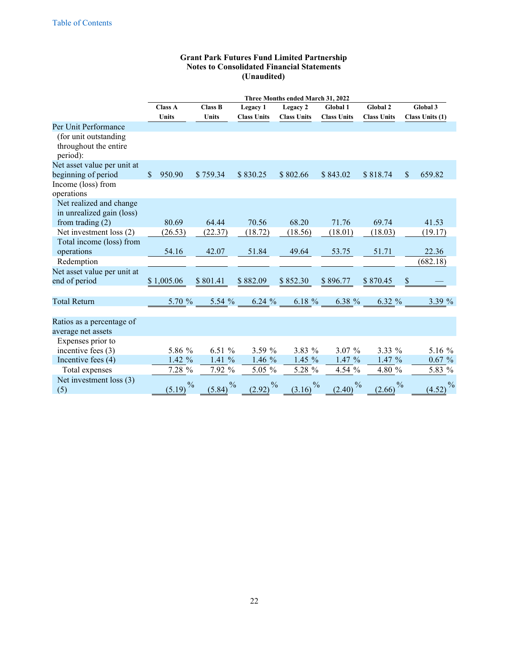|                                                            |                         | Three Months ended March 31, 2022 |                         |                         |                         |                         |                                     |  |  |  |  |  |  |
|------------------------------------------------------------|-------------------------|-----------------------------------|-------------------------|-------------------------|-------------------------|-------------------------|-------------------------------------|--|--|--|--|--|--|
|                                                            | <b>Class A</b>          | <b>Class B</b>                    | Legacy 1                | Legacy 2                | Global 1                | Global 2                | Global 3                            |  |  |  |  |  |  |
|                                                            | <b>Units</b>            | <b>Units</b>                      | <b>Class Units</b>      | <b>Class Units</b>      | <b>Class Units</b>      | <b>Class Units</b>      | Class Units (1)                     |  |  |  |  |  |  |
| Per Unit Performance                                       |                         |                                   |                         |                         |                         |                         |                                     |  |  |  |  |  |  |
| (for unit outstanding<br>throughout the entire<br>period): |                         |                                   |                         |                         |                         |                         |                                     |  |  |  |  |  |  |
| Net asset value per unit at                                |                         |                                   |                         |                         |                         |                         |                                     |  |  |  |  |  |  |
| beginning of period                                        | $\mathbb{S}$<br>950.90  | \$759.34                          | \$830.25                | \$802.66                | \$843.02                | \$818.74                | $\boldsymbol{\mathsf{S}}$<br>659.82 |  |  |  |  |  |  |
| Income (loss) from                                         |                         |                                   |                         |                         |                         |                         |                                     |  |  |  |  |  |  |
| operations                                                 |                         |                                   |                         |                         |                         |                         |                                     |  |  |  |  |  |  |
| Net realized and change<br>in unrealized gain (loss)       |                         |                                   |                         |                         |                         |                         |                                     |  |  |  |  |  |  |
| from trading $(2)$                                         | 80.69                   | 64.44                             | 70.56                   | 68.20                   | 71.76                   | 69.74                   | 41.53                               |  |  |  |  |  |  |
| Net investment loss (2)                                    | (26.53)                 | (22.37)                           | (18.72)                 | (18.56)                 | (18.01)                 | (18.03)                 | (19.17)                             |  |  |  |  |  |  |
| Total income (loss) from<br>operations<br>Redemption       | 54.16                   | 42.07                             | 51.84                   | 49.64                   | 53.75                   | 51.71                   | 22.36<br>(682.18)                   |  |  |  |  |  |  |
|                                                            |                         |                                   |                         |                         |                         |                         |                                     |  |  |  |  |  |  |
| Net asset value per unit at<br>end of period               | \$1,005.06              | \$801.41                          | \$882.09                | \$852.30                | \$896.77                | \$870.45                | $\$$                                |  |  |  |  |  |  |
| <b>Total Return</b>                                        | 5.70 %                  | 5.54 %                            | 6.24%                   | 6.18 %                  | 6.38 %                  | 6.32 %                  | 3.39 %                              |  |  |  |  |  |  |
| Ratios as a percentage of<br>average net assets            |                         |                                   |                         |                         |                         |                         |                                     |  |  |  |  |  |  |
| Expenses prior to<br>incentive fees $(3)$                  | 5.86 %                  | 6.51 %                            | 3.59%                   | 3.83 %                  | 3.07%                   | 3.33 %                  | 5.16 %                              |  |  |  |  |  |  |
| Incentive fees (4)                                         | 1.42 %                  | 1.41 %                            | 1.46 %                  | 1.45 %                  | 1.47 %                  | 1.47 %                  | 0.67%                               |  |  |  |  |  |  |
| Total expenses                                             | 7.28 %                  | 7.92 %                            | 5.05 %                  | 5.28 %                  | 4.54 %                  | 4.80 %                  | 5.83 %                              |  |  |  |  |  |  |
| Net investment loss (3)<br>(5)                             | $\frac{0}{0}$<br>(5.19) | $\frac{0}{0}$<br>(5.84)           | $\frac{0}{0}$<br>(2.92) | $\frac{0}{0}$<br>(3.16) | $\frac{0}{0}$<br>(2.40) | $\frac{0}{0}$<br>(2.66) | $\frac{0}{0}$<br>(4.52)             |  |  |  |  |  |  |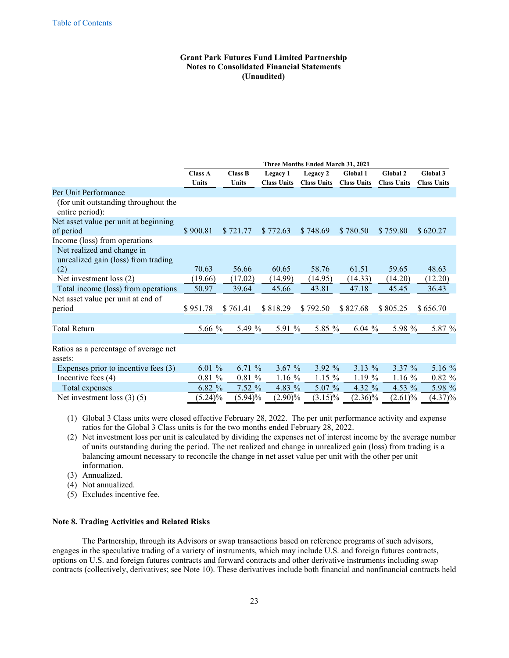|                                                                          |                |                |                    | <b>Three Months Ended March 31, 2021</b> |                    |                    |                    |
|--------------------------------------------------------------------------|----------------|----------------|--------------------|------------------------------------------|--------------------|--------------------|--------------------|
|                                                                          | <b>Class A</b> | <b>Class B</b> | Legacy 1           | Legacy 2                                 | Global 1           | <b>Global 2</b>    | Global 3           |
|                                                                          | <b>Units</b>   | <b>Units</b>   | <b>Class Units</b> | <b>Class Units</b>                       | <b>Class Units</b> | <b>Class Units</b> | <b>Class Units</b> |
| Per Unit Performance                                                     |                |                |                    |                                          |                    |                    |                    |
| (for unit outstanding throughout the<br>entire period):                  |                |                |                    |                                          |                    |                    |                    |
| Net asset value per unit at beginning                                    |                |                |                    |                                          |                    |                    |                    |
| of period                                                                | \$900.81       | \$721.77       | \$772.63           | \$748.69                                 | \$780.50           | \$759.80           | \$620.27           |
| Income (loss) from operations                                            |                |                |                    |                                          |                    |                    |                    |
| Net realized and change in<br>unrealized gain (loss) from trading<br>(2) | 70.63          | 56.66          | 60.65              | 58.76                                    | 61.51              | 59.65              | 48.63              |
| Net investment loss $(2)$                                                | (19.66)        | (17.02)        | (14.99)            | (14.95)                                  | (14.33)            | (14.20)            | (12.20)            |
| Total income (loss) from operations                                      | 50.97          | 39.64          | 45.66              | 43.81                                    | 47.18              | 45.45              | 36.43              |
|                                                                          |                |                |                    |                                          |                    |                    |                    |
| Net asset value per unit at end of                                       | \$951.78       | \$761.41       | \$818.29           | \$792.50                                 | \$827.68           | \$805.25           | \$656.70           |
| period                                                                   |                |                |                    |                                          |                    |                    |                    |
| Total Return                                                             | 5.66 %         | 5.49 %         | 5.91 %             | 5.85 %                                   | 6.04 $%$           | 5.98 %             | 5.87 %             |
|                                                                          |                |                |                    |                                          |                    |                    |                    |
| Ratios as a percentage of average net                                    |                |                |                    |                                          |                    |                    |                    |
| assets:                                                                  |                |                |                    |                                          |                    |                    |                    |
| Expenses prior to incentive fees (3)                                     | 6.01%          | 6.71 %         | 3.67%              | $3.92\%$                                 | 3.13 %             | $3.37 \%$          | 5.16 %             |
| Incentive fees (4)                                                       | 0.81%          | 0.81%          | $1.16\%$           | $1.15\%$                                 | $1.19\%$           | $1.16\%$           | $0.82 \%$          |
| Total expenses                                                           | 6.82%          | 7.52%          | 4.83 %             | $5.07\%$                                 | 4.32 $%$           | 4.53 $%$           | 5.98 %             |
| Net investment loss $(3)(5)$                                             | $(5.24)\%$     | $(5.94)\%$     | $(2.90)\%$         | $(3.15)\%$                               | $(2.36)\%$         | (2.61)%            | $(4.37)\%$         |

(1) Global 3 Class units were closed effective February 28, 2022. The per unit performance activity and expense ratios for the Global 3 Class units is for the two months ended February 28, 2022.

- (2) Net investment loss per unit is calculated by dividing the expenses net of interest income by the average number of units outstanding during the period. The net realized and change in unrealized gain (loss) from trading is a balancing amount necessary to reconcile the change in net asset value per unit with the other per unit information.
- (3) Annualized.

(4) Not annualized.

(5) Excludes incentive fee.

## **Note 8. Trading Activities and Related Risks**

The Partnership, through its Advisors or swap transactions based on reference programs of such advisors, engages in the speculative trading of a variety of instruments, which may include U.S. and foreign futures contracts, options on U.S. and foreign futures contracts and forward contracts and other derivative instruments including swap contracts (collectively, derivatives; see Note 10). These derivatives include both financial and nonfinancial contracts held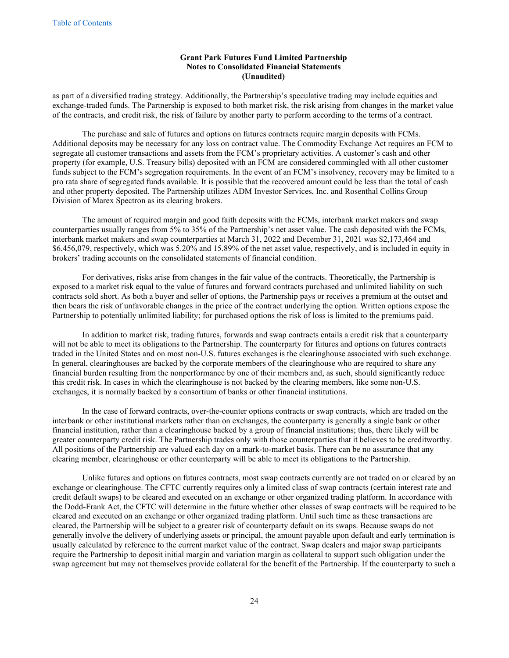as part of a diversified trading strategy. Additionally, the Partnership's speculative trading may include equities and exchange-traded funds. The Partnership is exposed to both market risk, the risk arising from changes in the market value of the contracts, and credit risk, the risk of failure by another party to perform according to the terms of a contract.

The purchase and sale of futures and options on futures contracts require margin deposits with FCMs. Additional deposits may be necessary for any loss on contract value. The Commodity Exchange Act requires an FCM to segregate all customer transactions and assets from the FCM's proprietary activities. A customer's cash and other property (for example, U.S. Treasury bills) deposited with an FCM are considered commingled with all other customer funds subject to the FCM's segregation requirements. In the event of an FCM's insolvency, recovery may be limited to a pro rata share of segregated funds available. It is possible that the recovered amount could be less than the total of cash and other property deposited. The Partnership utilizes ADM Investor Services, Inc. and Rosenthal Collins Group Division of Marex Spectron as its clearing brokers.

The amount of required margin and good faith deposits with the FCMs, interbank market makers and swap counterparties usually ranges from 5% to 35% of the Partnership's net asset value. The cash deposited with the FCMs, interbank market makers and swap counterparties at March 31, 2022 and December 31, 2021 was \$2,173,464 and \$6,456,079, respectively, which was 5.20% and 15.89% of the net asset value, respectively, and is included in equity in brokers' trading accounts on the consolidated statements of financial condition.

For derivatives, risks arise from changes in the fair value of the contracts. Theoretically, the Partnership is exposed to a market risk equal to the value of futures and forward contracts purchased and unlimited liability on such contracts sold short. As both a buyer and seller of options, the Partnership pays or receives a premium at the outset and then bears the risk of unfavorable changes in the price of the contract underlying the option. Written options expose the Partnership to potentially unlimited liability; for purchased options the risk of loss is limited to the premiums paid.

In addition to market risk, trading futures, forwards and swap contracts entails a credit risk that a counterparty will not be able to meet its obligations to the Partnership. The counterparty for futures and options on futures contracts traded in the United States and on most non-U.S. futures exchanges is the clearinghouse associated with such exchange. In general, clearinghouses are backed by the corporate members of the clearinghouse who are required to share any financial burden resulting from the nonperformance by one of their members and, as such, should significantly reduce this credit risk. In cases in which the clearinghouse is not backed by the clearing members, like some non-U.S. exchanges, it is normally backed by a consortium of banks or other financial institutions.

In the case of forward contracts, over-the-counter options contracts or swap contracts, which are traded on the interbank or other institutional markets rather than on exchanges, the counterparty is generally a single bank or other financial institution, rather than a clearinghouse backed by a group of financial institutions; thus, there likely will be greater counterparty credit risk. The Partnership trades only with those counterparties that it believes to be creditworthy. All positions of the Partnership are valued each day on a mark-to-market basis. There can be no assurance that any clearing member, clearinghouse or other counterparty will be able to meet its obligations to the Partnership.

Unlike futures and options on futures contracts, most swap contracts currently are not traded on or cleared by an exchange or clearinghouse. The CFTC currently requires only a limited class of swap contracts (certain interest rate and credit default swaps) to be cleared and executed on an exchange or other organized trading platform. In accordance with the Dodd-Frank Act, the CFTC will determine in the future whether other classes of swap contracts will be required to be cleared and executed on an exchange or other organized trading platform. Until such time as these transactions are cleared, the Partnership will be subject to a greater risk of counterparty default on its swaps. Because swaps do not generally involve the delivery of underlying assets or principal, the amount payable upon default and early termination is usually calculated by reference to the current market value of the contract. Swap dealers and major swap participants require the Partnership to deposit initial margin and variation margin as collateral to support such obligation under the swap agreement but may not themselves provide collateral for the benefit of the Partnership. If the counterparty to such a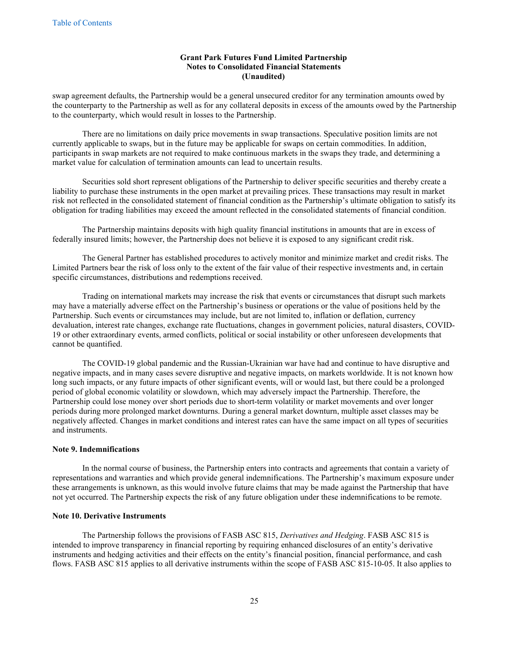swap agreement defaults, the Partnership would be a general unsecured creditor for any termination amounts owed by the counterparty to the Partnership as well as for any collateral deposits in excess of the amounts owed by the Partnership to the counterparty, which would result in losses to the Partnership.

There are no limitations on daily price movements in swap transactions. Speculative position limits are not currently applicable to swaps, but in the future may be applicable for swaps on certain commodities. In addition, participants in swap markets are not required to make continuous markets in the swaps they trade, and determining a market value for calculation of termination amounts can lead to uncertain results.

Securities sold short represent obligations of the Partnership to deliver specific securities and thereby create a liability to purchase these instruments in the open market at prevailing prices. These transactions may result in market risk not reflected in the consolidated statement of financial condition as the Partnership's ultimate obligation to satisfy its obligation for trading liabilities may exceed the amount reflected in the consolidated statements of financial condition.

The Partnership maintains deposits with high quality financial institutions in amounts that are in excess of federally insured limits; however, the Partnership does not believe it is exposed to any significant credit risk.

The General Partner has established procedures to actively monitor and minimize market and credit risks. The Limited Partners bear the risk of loss only to the extent of the fair value of their respective investments and, in certain specific circumstances, distributions and redemptions received.

Trading on international markets may increase the risk that events or circumstances that disrupt such markets may have a materially adverse effect on the Partnership's business or operations or the value of positions held by the Partnership. Such events or circumstances may include, but are not limited to, inflation or deflation, currency devaluation, interest rate changes, exchange rate fluctuations, changes in government policies, natural disasters, COVID-19 or other extraordinary events, armed conflicts, political or social instability or other unforeseen developments that cannot be quantified.

The COVID-19 global pandemic and the Russian-Ukrainian war have had and continue to have disruptive and negative impacts, and in many cases severe disruptive and negative impacts, on markets worldwide. It is not known how long such impacts, or any future impacts of other significant events, will or would last, but there could be a prolonged period of global economic volatility or slowdown, which may adversely impact the Partnership. Therefore, the Partnership could lose money over short periods due to short-term volatility or market movements and over longer periods during more prolonged market downturns. During a general market downturn, multiple asset classes may be negatively affected. Changes in market conditions and interest rates can have the same impact on all types of securities and instruments.

## **Note 9. Indemnifications**

In the normal course of business, the Partnership enters into contracts and agreements that contain a variety of representations and warranties and which provide general indemnifications. The Partnership's maximum exposure under these arrangements is unknown, as this would involve future claims that may be made against the Partnership that have not yet occurred. The Partnership expects the risk of any future obligation under these indemnifications to be remote.

## **Note 10. Derivative Instruments**

The Partnership follows the provisions of FASB ASC 815, *Derivatives and Hedging*. FASB ASC 815 is intended to improve transparency in financial reporting by requiring enhanced disclosures of an entity's derivative instruments and hedging activities and their effects on the entity's financial position, financial performance, and cash flows. FASB ASC 815 applies to all derivative instruments within the scope of FASB ASC 815-10-05. It also applies to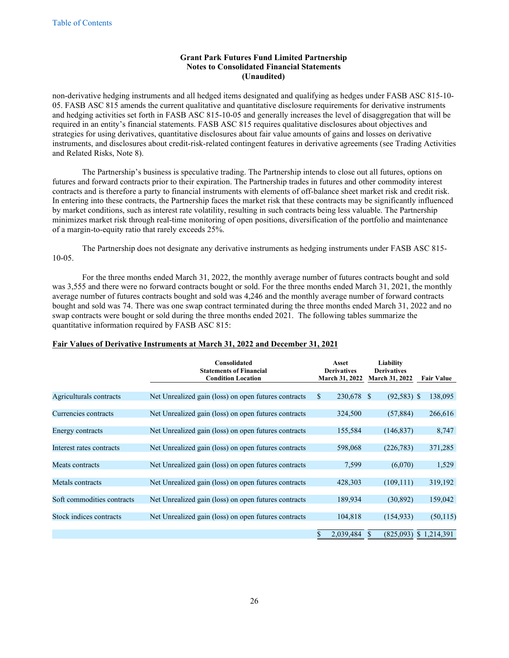non-derivative hedging instruments and all hedged items designated and qualifying as hedges under FASB ASC 815-10- 05. FASB ASC 815 amends the current qualitative and quantitative disclosure requirements for derivative instruments and hedging activities set forth in FASB ASC 815-10-05 and generally increases the level of disaggregation that will be required in an entity's financial statements. FASB ASC 815 requires qualitative disclosures about objectives and strategies for using derivatives, quantitative disclosures about fair value amounts of gains and losses on derivative instruments, and disclosures about credit-risk-related contingent features in derivative agreements (see Trading Activities and Related Risks, Note 8).

The Partnership's business is speculative trading. The Partnership intends to close out all futures, options on futures and forward contracts prior to their expiration. The Partnership trades in futures and other commodity interest contracts and is therefore a party to financial instruments with elements of off-balance sheet market risk and credit risk. In entering into these contracts, the Partnership faces the market risk that these contracts may be significantly influenced by market conditions, such as interest rate volatility, resulting in such contracts being less valuable. The Partnership minimizes market risk through real-time monitoring of open positions, diversification of the portfolio and maintenance of a margin-to-equity ratio that rarely exceeds 25%.

The Partnership does not designate any derivative instruments as hedging instruments under FASB ASC 815- 10-05.

For the three months ended March 31, 2022, the monthly average number of futures contracts bought and sold was 3,555 and there were no forward contracts bought or sold. For the three months ended March 31, 2021, the monthly average number of futures contracts bought and sold was 4,246 and the monthly average number of forward contracts bought and sold was 74. There was one swap contract terminated during the three months ended March 31, 2022 and no swap contracts were bought or sold during the three months ended 2021. The following tables summarize the quantitative information required by FASB ASC 815:

|                            | Consolidated<br><b>Statements of Financial</b><br><b>Condition Location</b> | Asset<br><b>Derivatives</b><br><b>March 31, 2022</b> | Liability<br><b>Derivatives</b><br>March 31, 2022 | <b>Fair Value</b> |
|----------------------------|-----------------------------------------------------------------------------|------------------------------------------------------|---------------------------------------------------|-------------------|
|                            |                                                                             |                                                      |                                                   |                   |
| Agriculturals contracts    | Net Unrealized gain (loss) on open futures contracts                        | 230,678 \$<br>\$                                     | $(92,583)$ \$                                     | 138,095           |
|                            |                                                                             |                                                      |                                                   |                   |
| Currencies contracts       | Net Unrealized gain (loss) on open futures contracts                        | 324,500                                              | (57, 884)                                         | 266,616           |
|                            |                                                                             |                                                      |                                                   |                   |
| Energy contracts           | Net Unrealized gain (loss) on open futures contracts                        | 155,584                                              | (146, 837)                                        | 8,747             |
| Interest rates contracts   | Net Unrealized gain (loss) on open futures contracts                        | 598,068                                              | (226, 783)                                        | 371,285           |
|                            |                                                                             |                                                      |                                                   |                   |
| Meats contracts            | Net Unrealized gain (loss) on open futures contracts                        | 7,599                                                | (6,070)                                           | 1,529             |
|                            |                                                                             |                                                      |                                                   |                   |
| Metals contracts           | Net Unrealized gain (loss) on open futures contracts                        | 428,303                                              | (109, 111)                                        | 319,192           |
|                            |                                                                             |                                                      |                                                   |                   |
| Soft commodities contracts | Net Unrealized gain (loss) on open futures contracts                        | 189,934                                              | (30, 892)                                         | 159,042           |
|                            |                                                                             |                                                      |                                                   |                   |
| Stock indices contracts    | Net Unrealized gain (loss) on open futures contracts                        | 104,818                                              | (154, 933)                                        | (50, 115)         |
|                            |                                                                             | 2,039,484                                            | (825,093)                                         | \$1,214,391       |

# **Fair Values of Derivative Instruments at March 31, 2022 and December 31, 2021**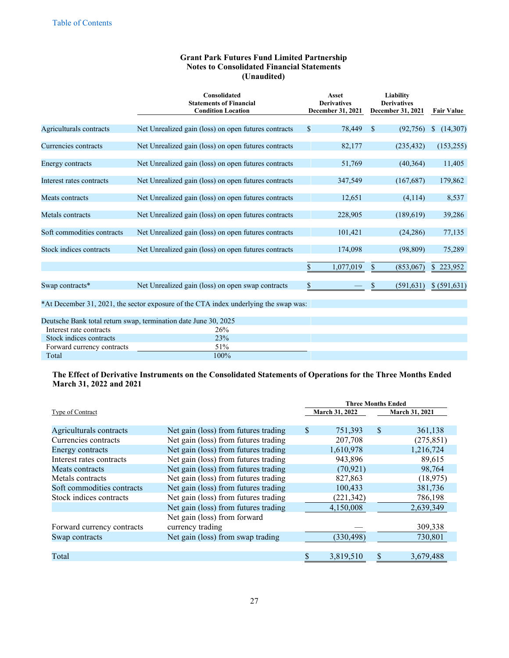|                            | Consolidated<br><b>Statements of Financial</b><br><b>Condition Location</b> | Asset<br><b>Derivatives</b><br>December 31, 2021 | Liability<br><b>Derivatives</b><br><b>December 31, 2021</b> | <b>Fair Value</b> |
|----------------------------|-----------------------------------------------------------------------------|--------------------------------------------------|-------------------------------------------------------------|-------------------|
| Agriculturals contracts    | Net Unrealized gain (loss) on open futures contracts                        | 78,449<br>S.                                     | <sup>S</sup><br>(92, 756)                                   | (14,307)<br>S     |
| Currencies contracts       | Net Unrealized gain (loss) on open futures contracts                        | 82,177                                           | (235, 432)                                                  | (153,255)         |
| Energy contracts           | Net Unrealized gain (loss) on open futures contracts                        | 51,769                                           | (40, 364)                                                   | 11,405            |
| Interest rates contracts   | Net Unrealized gain (loss) on open futures contracts                        | 347,549                                          | (167, 687)                                                  | 179,862           |
| Meats contracts            | Net Unrealized gain (loss) on open futures contracts                        | 12,651                                           | (4,114)                                                     | 8,537             |
| Metals contracts           | Net Unrealized gain (loss) on open futures contracts                        | 228,905                                          | (189,619)                                                   | 39,286            |
| Soft commodities contracts | Net Unrealized gain (loss) on open futures contracts                        | 101,421                                          | (24, 286)                                                   | 77,135            |
| Stock indices contracts    | Net Unrealized gain (loss) on open futures contracts                        | 174,098                                          | (98, 809)                                                   | 75,289            |
|                            |                                                                             | 1,077,019                                        | (853,067)<br>S                                              | \$223,952         |
| Swap contracts*            | Net Unrealized gain (loss) on open swap contracts                           | \$                                               | (591, 631)<br>\$                                            | \$ (591,631)      |

\*At December 31, 2021, the sector exposure of the CTA index underlying the swap was:

|                            | Deutsche Bank total return swap, termination date June 30, 2025 |  |
|----------------------------|-----------------------------------------------------------------|--|
| Interest rate contracts    | 26%                                                             |  |
| Stock indices contracts    | 23%                                                             |  |
| Forward currency contracts | 51%                                                             |  |
| Total                      | 100%                                                            |  |

# **The Effect of Derivative Instruments on the Consolidated Statements of Operations for the Three Months Ended March 31, 2022 and 2021**

|                            | <b>Three Months Ended</b>            |     |                |              |                |  |  |
|----------------------------|--------------------------------------|-----|----------------|--------------|----------------|--|--|
| Type of Contract           |                                      |     | March 31, 2022 |              | March 31, 2021 |  |  |
|                            |                                      |     |                |              |                |  |  |
| Agriculturals contracts    | Net gain (loss) from futures trading | \$. | 751,393        | <sup>S</sup> | 361,138        |  |  |
| Currencies contracts       | Net gain (loss) from futures trading |     | 207,708        |              | (275, 851)     |  |  |
| Energy contracts           | Net gain (loss) from futures trading |     | 1,610,978      |              | 1,216,724      |  |  |
| Interest rates contracts   | Net gain (loss) from futures trading |     | 943,896        |              | 89,615         |  |  |
| Meats contracts            | Net gain (loss) from futures trading |     | (70, 921)      |              | 98,764         |  |  |
| Metals contracts           | Net gain (loss) from futures trading |     | 827,863        |              | (18, 975)      |  |  |
| Soft commodities contracts | Net gain (loss) from futures trading |     | 100,433        |              | 381,736        |  |  |
| Stock indices contracts    | Net gain (loss) from futures trading |     | (221, 342)     |              | 786,198        |  |  |
|                            | Net gain (loss) from futures trading |     | 4,150,008      |              | 2,639,349      |  |  |
|                            | Net gain (loss) from forward         |     |                |              |                |  |  |
| Forward currency contracts | currency trading                     |     |                |              | 309,338        |  |  |
| Swap contracts             | Net gain (loss) from swap trading    |     | (330, 498)     |              | 730,801        |  |  |
|                            |                                      |     |                |              |                |  |  |
| Total                      |                                      |     | 3,819,510      |              | 3,679,488      |  |  |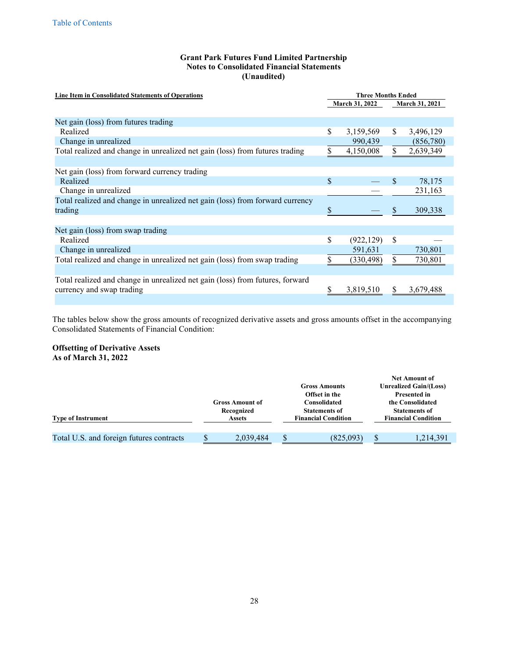| <b>Line Item in Consolidated Statements of Operations</b>                     | <b>Three Months Ended</b> |            |               |           |  |  |  |
|-------------------------------------------------------------------------------|---------------------------|------------|---------------|-----------|--|--|--|
|                                                                               | <b>March 31, 2022</b>     |            |               |           |  |  |  |
|                                                                               |                           |            |               |           |  |  |  |
| Net gain (loss) from futures trading                                          |                           |            |               |           |  |  |  |
| Realized                                                                      | \$                        | 3,159,569  | \$.           | 3,496,129 |  |  |  |
| Change in unrealized                                                          |                           | 990,439    |               | (856,780) |  |  |  |
| Total realized and change in unrealized net gain (loss) from futures trading  |                           | 4,150,008  | S.            | 2,639,349 |  |  |  |
|                                                                               |                           |            |               |           |  |  |  |
| Net gain (loss) from forward currency trading                                 |                           |            |               |           |  |  |  |
| Realized                                                                      | \$                        |            | <sup>\$</sup> | 78,175    |  |  |  |
| Change in unrealized                                                          |                           |            |               | 231,163   |  |  |  |
| Total realized and change in unrealized net gain (loss) from forward currency |                           |            |               |           |  |  |  |
| trading                                                                       | S                         |            | S             | 309,338   |  |  |  |
|                                                                               |                           |            |               |           |  |  |  |
| Net gain (loss) from swap trading                                             |                           |            |               |           |  |  |  |
| Realized                                                                      | \$                        | (922, 129) | \$            |           |  |  |  |
| Change in unrealized                                                          |                           | 591,631    |               | 730,801   |  |  |  |
| Total realized and change in unrealized net gain (loss) from swap trading     |                           | (330, 498) | \$            | 730,801   |  |  |  |
|                                                                               |                           |            |               |           |  |  |  |
| Total realized and change in unrealized net gain (loss) from futures, forward |                           |            |               |           |  |  |  |
| currency and swap trading                                                     |                           | 3,819,510  | S             | 3,679,488 |  |  |  |
|                                                                               |                           |            |               |           |  |  |  |

The tables below show the gross amounts of recognized derivative assets and gross amounts offset in the accompanying Consolidated Statements of Financial Condition:

# **Offsetting of Derivative Assets**

**As of March 31, 2022**

|                                          |  |                                      |   | <b>Gross Amounts</b>                                  | <b>Net Amount of</b><br><b>Unrealized Gain/(Loss)</b>           |                            |  |  |  |
|------------------------------------------|--|--------------------------------------|---|-------------------------------------------------------|-----------------------------------------------------------------|----------------------------|--|--|--|
|                                          |  | <b>Gross Amount of</b><br>Recognized |   | Offset in the<br>Consolidated<br><b>Statements of</b> | <b>Presented in</b><br>the Consolidated<br><b>Statements of</b> |                            |  |  |  |
| <b>Type of Instrument</b>                |  | <b>Assets</b>                        |   | <b>Financial Condition</b>                            |                                                                 | <b>Financial Condition</b> |  |  |  |
| Total U.S. and foreign futures contracts |  | 2,039,484                            | ¢ | (825,093)                                             | \$.                                                             | 1,214,391                  |  |  |  |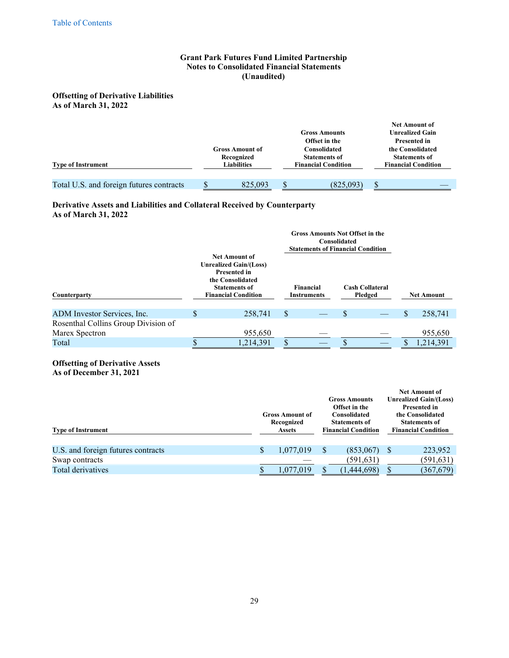# **Offsetting of Derivative Liabilities As of March 31, 2022**

| <b>Type of Instrument</b>                | <b>Gross Amount of</b><br>Recognized<br><b>Liabilities</b> | <b>Gross Amounts</b><br>Offset in the<br>Consolidated<br><b>Statements of</b><br><b>Financial Condition</b> | <b>Net Amount of</b><br><b>Unrealized Gain</b><br><b>Presented in</b><br>the Consolidated<br><b>Statements of</b><br><b>Financial Condition</b> |
|------------------------------------------|------------------------------------------------------------|-------------------------------------------------------------------------------------------------------------|-------------------------------------------------------------------------------------------------------------------------------------------------|
| Total U.S. and foreign futures contracts | 825,093                                                    | (825,093)                                                                                                   | \$                                                                                                                                              |

# **Derivative Assets and Liabilities and Collateral Received by Counterparty As of March 31, 2022**

|                                     |    |                                                                                                                                                        |     | <b>Gross Amounts Not Offset in the</b><br><b>Statements of Financial Condition</b> | <b>Consolidated</b> |                                   |    |                   |
|-------------------------------------|----|--------------------------------------------------------------------------------------------------------------------------------------------------------|-----|------------------------------------------------------------------------------------|---------------------|-----------------------------------|----|-------------------|
| Counterparty                        |    | <b>Net Amount of</b><br><b>Unrealized Gain/(Loss)</b><br><b>Presented in</b><br>the Consolidated<br><b>Statements of</b><br><b>Financial Condition</b> |     | <b>Financial</b><br><b>Instruments</b>                                             |                     | <b>Cash Collateral</b><br>Pledged |    | <b>Net Amount</b> |
| ADM Investor Services, Inc.         | \$ | 258,741                                                                                                                                                | \$  |                                                                                    | \$                  |                                   | \$ | 258,741           |
| Rosenthal Collins Group Division of |    |                                                                                                                                                        |     |                                                                                    |                     |                                   |    |                   |
| Marex Spectron                      |    | 955,650                                                                                                                                                |     |                                                                                    |                     |                                   |    | 955,650           |
| Total                               | S  | 1,214,391                                                                                                                                              | \$. |                                                                                    | <b>S</b>            |                                   | S  | 1,214,391         |

**Offsetting of Derivative Assets As of December 31, 2021**

| <b>Type of Instrument</b>          | <b>Gross Amount of</b><br>Recognized<br><b>Assets</b> |    | <b>Gross Amounts</b><br>Offset in the<br><b>Consolidated</b><br><b>Statements of</b><br><b>Financial Condition</b> |   | <b>Net Amount of</b><br><b>Unrealized Gain/(Loss)</b><br><b>Presented in</b><br>the Consolidated<br><b>Statements of</b><br><b>Financial Condition</b> |
|------------------------------------|-------------------------------------------------------|----|--------------------------------------------------------------------------------------------------------------------|---|--------------------------------------------------------------------------------------------------------------------------------------------------------|
| U.S. and foreign futures contracts | 1,077,019                                             | -S | (853,067)                                                                                                          | S | 223,952                                                                                                                                                |
| Swap contracts                     |                                                       |    | (591,631)                                                                                                          |   | (591, 631)                                                                                                                                             |
| Total derivatives                  | 1,077,019                                             |    | (1,444,698)                                                                                                        |   | (367, 679)                                                                                                                                             |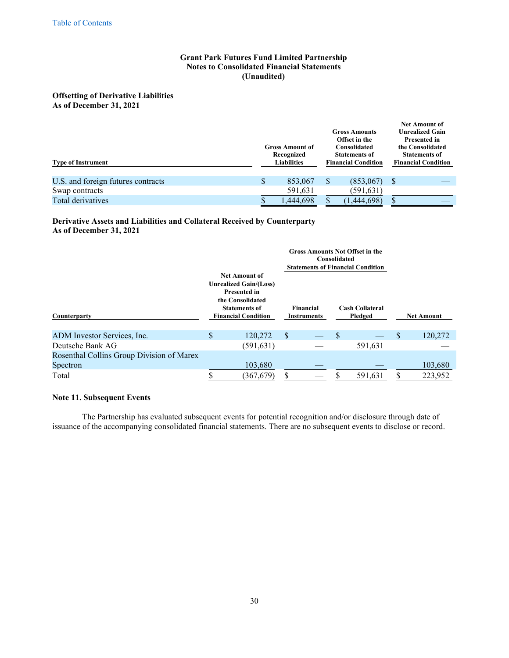**Offsetting of Derivative Liabilities As of December 31, 2021**

| <b>Type of Instrument</b>          |   | <b>Gross Amount of</b><br>Recognized<br><b>Liabilities</b> | <b>Gross Amounts</b><br>Offset in the<br><b>Consolidated</b><br><b>Statements of</b><br><b>Financial Condition</b> |   | <b>Net Amount of</b><br><b>Unrealized Gain</b><br><b>Presented in</b><br>the Consolidated<br><b>Statements of</b><br><b>Financial Condition</b> |
|------------------------------------|---|------------------------------------------------------------|--------------------------------------------------------------------------------------------------------------------|---|-------------------------------------------------------------------------------------------------------------------------------------------------|
| U.S. and foreign futures contracts | S | 853,067                                                    | (853,067)                                                                                                          | S |                                                                                                                                                 |
| Swap contracts                     |   | 591,631                                                    | (591,631)                                                                                                          |   |                                                                                                                                                 |
| Total derivatives                  |   | 1,444,698                                                  | (444,698)                                                                                                          |   |                                                                                                                                                 |

## **Derivative Assets and Liabilities and Collateral Received by Counterparty As of December 31, 2021**

|                                           |                                                                                                                                                        |   | <b>Gross Amounts Not Offset in the</b><br>Consolidated<br><b>Statements of Financial Condition</b> |   |                                   |   |                   |
|-------------------------------------------|--------------------------------------------------------------------------------------------------------------------------------------------------------|---|----------------------------------------------------------------------------------------------------|---|-----------------------------------|---|-------------------|
| Counterparty                              | <b>Net Amount of</b><br><b>Unrealized Gain/(Loss)</b><br><b>Presented in</b><br>the Consolidated<br><b>Statements of</b><br><b>Financial Condition</b> |   | <b>Financial</b><br><b>Instruments</b>                                                             |   | <b>Cash Collateral</b><br>Pledged |   | <b>Net Amount</b> |
| ADM Investor Services, Inc.               | \$<br>120,272                                                                                                                                          | S |                                                                                                    | S |                                   | S | 120,272           |
| Deutsche Bank AG                          | (591, 631)                                                                                                                                             |   |                                                                                                    |   | 591,631                           |   |                   |
| Rosenthal Collins Group Division of Marex |                                                                                                                                                        |   |                                                                                                    |   |                                   |   |                   |
| Spectron                                  | 103,680                                                                                                                                                |   |                                                                                                    |   |                                   |   | 103,680           |
| Total                                     | (367,679)                                                                                                                                              |   |                                                                                                    |   | 591,631                           |   | 223,952           |

## **Note 11. Subsequent Events**

The Partnership has evaluated subsequent events for potential recognition and/or disclosure through date of issuance of the accompanying consolidated financial statements. There are no subsequent events to disclose or record.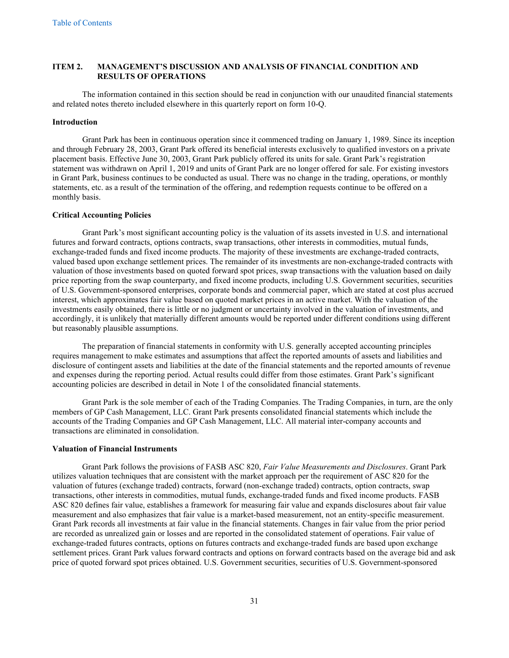## <span id="page-31-0"></span>**ITEM 2. MANAGEMENT'S DISCUSSION AND ANALYSIS OF FINANCIAL CONDITION AND RESULTS OF OPERATIONS**

The information contained in this section should be read in conjunction with our unaudited financial statements and related notes thereto included elsewhere in this quarterly report on form 10-Q.

#### **Introduction**

Grant Park has been in continuous operation since it commenced trading on January 1, 1989. Since its inception and through February 28, 2003, Grant Park offered its beneficial interests exclusively to qualified investors on a private placement basis. Effective June 30, 2003, Grant Park publicly offered its units for sale. Grant Park's registration statement was withdrawn on April 1, 2019 and units of Grant Park are no longer offered for sale. For existing investors in Grant Park, business continues to be conducted as usual. There was no change in the trading, operations, or monthly statements, etc. as a result of the termination of the offering, and redemption requests continue to be offered on a monthly basis.

#### **Critical Accounting Policies**

Grant Park's most significant accounting policy is the valuation of its assets invested in U.S. and international futures and forward contracts, options contracts, swap transactions, other interests in commodities, mutual funds, exchange-traded funds and fixed income products. The majority of these investments are exchange-traded contracts, valued based upon exchange settlement prices. The remainder of its investments are non-exchange-traded contracts with valuation of those investments based on quoted forward spot prices, swap transactions with the valuation based on daily price reporting from the swap counterparty, and fixed income products, including U.S. Government securities, securities of U.S. Government-sponsored enterprises, corporate bonds and commercial paper, which are stated at cost plus accrued interest, which approximates fair value based on quoted market prices in an active market. With the valuation of the investments easily obtained, there is little or no judgment or uncertainty involved in the valuation of investments, and accordingly, it is unlikely that materially different amounts would be reported under different conditions using different but reasonably plausible assumptions.

The preparation of financial statements in conformity with U.S. generally accepted accounting principles requires management to make estimates and assumptions that affect the reported amounts of assets and liabilities and disclosure of contingent assets and liabilities at the date of the financial statements and the reported amounts of revenue and expenses during the reporting period. Actual results could differ from those estimates. Grant Park's significant accounting policies are described in detail in Note 1 of the consolidated financial statements.

Grant Park is the sole member of each of the Trading Companies. The Trading Companies, in turn, are the only members of GP Cash Management, LLC. Grant Park presents consolidated financial statements which include the accounts of the Trading Companies and GP Cash Management, LLC. All material inter-company accounts and transactions are eliminated in consolidation.

#### **Valuation of Financial Instruments**

Grant Park follows the provisions of FASB ASC 820, *Fair Value Measurements and Disclosures*. Grant Park utilizes valuation techniques that are consistent with the market approach per the requirement of ASC 820 for the valuation of futures (exchange traded) contracts, forward (non-exchange traded) contracts, option contracts, swap transactions, other interests in commodities, mutual funds, exchange-traded funds and fixed income products. FASB ASC 820 defines fair value, establishes a framework for measuring fair value and expands disclosures about fair value measurement and also emphasizes that fair value is a market-based measurement, not an entity-specific measurement. Grant Park records all investments at fair value in the financial statements. Changes in fair value from the prior period are recorded as unrealized gain or losses and are reported in the consolidated statement of operations. Fair value of exchange-traded futures contracts, options on futures contracts and exchange-traded funds are based upon exchange settlement prices. Grant Park values forward contracts and options on forward contracts based on the average bid and ask price of quoted forward spot prices obtained. U.S. Government securities, securities of U.S. Government-sponsored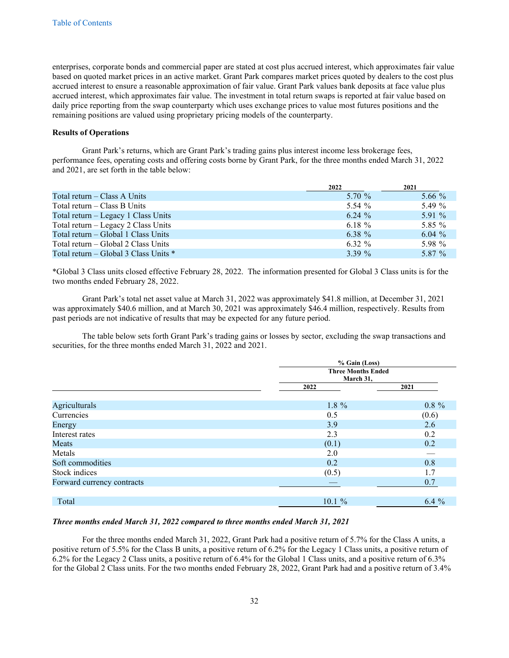enterprises, corporate bonds and commercial paper are stated at cost plus accrued interest, which approximates fair value based on quoted market prices in an active market. Grant Park compares market prices quoted by dealers to the cost plus accrued interest to ensure a reasonable approximation of fair value. Grant Park values bank deposits at face value plus accrued interest, which approximates fair value. The investment in total return swaps is reported at fair value based on daily price reporting from the swap counterparty which uses exchange prices to value most futures positions and the remaining positions are valued using proprietary pricing models of the counterparty.

## **Results of Operations**

Grant Park's returns, which are Grant Park's trading gains plus interest income less brokerage fees, performance fees, operating costs and offering costs borne by Grant Park, for the three months ended March 31, 2022 and 2021, are set forth in the table below:

|                                         | 2022     | 2021      |
|-----------------------------------------|----------|-----------|
| Total return – Class A Units            | 5.70 %   | 5.66 $\%$ |
| Total return $-$ Class B Units          | 5.54 $%$ | 5.49 %    |
| Total return – Legacy 1 Class Units     | $6.24\%$ | 5.91 $\%$ |
| Total return – Legacy 2 Class Units     | 6.18 $%$ | 5.85 %    |
| Total return – Global 1 Class Units     | 6.38 $%$ | 6.04 $\%$ |
| Total return – Global 2 Class Units     | $6.32\%$ | 5.98 %    |
| Total return – Global 3 Class Units $*$ | $3.39\%$ | 5.87 %    |

\*Global 3 Class units closed effective February 28, 2022. The information presented for Global 3 Class units is for the two months ended February 28, 2022.

Grant Park's total net asset value at March 31, 2022 was approximately \$41.8 million, at December 31, 2021 was approximately \$40.6 million, and at March 30, 2021 was approximately \$46.4 million, respectively. Results from past periods are not indicative of results that may be expected for any future period.

The table below sets forth Grant Park's trading gains or losses by sector, excluding the swap transactions and securities, for the three months ended March 31, 2022 and 2021.

|                            | % Gain (Loss) | <b>Three Months Ended</b><br>March 31, |  |  |
|----------------------------|---------------|----------------------------------------|--|--|
|                            |               |                                        |  |  |
|                            | 2022          | 2021                                   |  |  |
| Agriculturals              | $1.8 \%$      | $0.8 \%$                               |  |  |
| Currencies                 | 0.5           | (0.6)                                  |  |  |
| Energy                     | 3.9           | 2.6                                    |  |  |
| Interest rates             | 2.3           | 0.2                                    |  |  |
| Meats                      | (0.1)         | 0.2                                    |  |  |
| Metals                     | 2.0           |                                        |  |  |
| Soft commodities           | 0.2           | 0.8                                    |  |  |
| Stock indices              | (0.5)         | 1.7                                    |  |  |
| Forward currency contracts |               | 0.7                                    |  |  |
|                            |               |                                        |  |  |
| Total                      | $10.1 \%$     | $6.4\%$                                |  |  |

## *Three months ended March 31, 2022 compared to three months ended March 31, 2021*

For the three months ended March 31, 2022, Grant Park had a positive return of 5.7% for the Class A units, a positive return of 5.5% for the Class B units, a positive return of 6.2% for the Legacy 1 Class units, a positive return of 6.2% for the Legacy 2 Class units, a positive return of 6.4% for the Global 1 Class units, and a positive return of 6.3% for the Global 2 Class units. For the two months ended February 28, 2022, Grant Park had and a positive return of 3.4%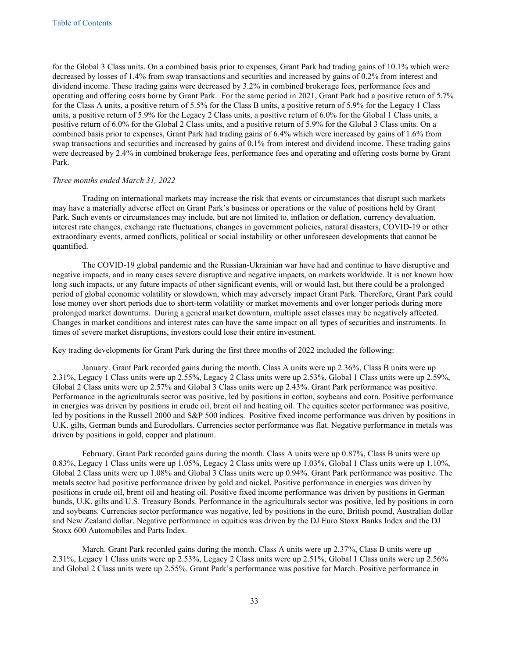for the Global 3 Class units. On a combined basis prior to expenses, Grant Park had trading gains of 10.1% which were decreased by losses of 1.4% from swap transactions and securities and increased by gains of 0.2% from interest and dividend income. These trading gains were decreased by 3.2% in combined brokerage fees, performance fees and operating and offering costs borne by Grant Park. For the same period in 2021, Grant Park had a positive return of 5.7% for the Class A units, a positive return of 5.5% for the Class B units, a positive return of 5.9% for the Legacy 1 Class units, a positive return of 5.9% for the Legacy 2 Class units, a positive return of 6.0% for the Global 1 Class units, a positive return of 6.0% for the Global 2 Class units, and a positive return of 5.9% for the Global 3 Class units. On a combined basis prior to expenses, Grant Park had trading gains of 6.4% which were increased by gains of 1.6% from swap transactions and securities and increased by gains of 0.1% from interest and dividend income. These trading gains were decreased by 2.4% in combined brokerage fees, performance fees and operating and offering costs borne by Grant Park.

## *Three months ended March 31, 2022*

Trading on international markets may increase the risk that events or circumstances that disrupt such markets may have a materially adverse effect on Grant Park's business or operations or the value of positions held by Grant Park. Such events or circumstances may include, but are not limited to, inflation or deflation, currency devaluation, interest rate changes, exchange rate fluctuations, changes in government policies, natural disasters, COVID-19 or other extraordinary events, armed conflicts, political or social instability or other unforeseen developments that cannot be quantified.

The COVID-19 global pandemic and the Russian-Ukrainian war have had and continue to have disruptive and negative impacts, and in many cases severe disruptive and negative impacts, on markets worldwide. It is not known how long such impacts, or any future impacts of other significant events, will or would last, but there could be a prolonged period of global economic volatility or slowdown, which may adversely impact Grant Park. Therefore, Grant Park could lose money over short periods due to short-term volatility or market movements and over longer periods during more prolonged market downturns. During a general market downturn, multiple asset classes may be negatively affected. Changes in market conditions and interest rates can have the same impact on all types of securities and instruments. In times of severe market disruptions, investors could lose their entire investment.

Key trading developments for Grant Park during the first three months of 2022 included the following:

January. Grant Park recorded gains during the month. Class A units were up 2.36%, Class B units were up 2.31%, Legacy 1 Class units were up 2.55%, Legacy 2 Class units were up 2.53%, Global 1 Class units were up 2.59%, Global 2 Class units were up 2.57% and Global 3 Class units were up 2.43%. Grant Park performance was positive. Performance in the agriculturals sector was positive, led by positions in cotton, soybeans and corn. Positive performance in energies was driven by positions in crude oil, brent oil and heating oil. The equities sector performance was positive, led by positions in the Russell 2000 and S&P 500 indices. Positive fixed income performance was driven by positions in U.K. gilts, German bunds and Eurodollars. Currencies sector performance was flat. Negative performance in metals was driven by positions in gold, copper and platinum.

February. Grant Park recorded gains during the month. Class A units were up 0.87%, Class B units were up 0.83%, Legacy 1 Class units were up 1.05%, Legacy 2 Class units were up 1.03%, Global 1 Class units were up 1.10%, Global 2 Class units were up 1.08% and Global 3 Class units were up 0.94%. Grant Park performance was positive. The metals sector had positive performance driven by gold and nickel. Positive performance in energies was driven by positions in crude oil, brent oil and heating oil. Positive fixed income performance was driven by positions in German bunds, U.K. gilts and U.S. Treasury Bonds. Performance in the agriculturals sector was positive, led by positions in corn and soybeans. Currencies sector performance was negative, led by positions in the euro, British pound, Australian dollar and New Zealand dollar. Negative performance in equities was driven by the DJ Euro Stoxx Banks Index and the DJ Stoxx 600 Automobiles and Parts Index.

March. Grant Park recorded gains during the month. Class A units were up 2.37%, Class B units were up 2.31%, Legacy 1 Class units were up 2.53%, Legacy 2 Class units were up 2.51%, Global 1 Class units were up 2.56% and Global 2 Class units were up 2.55%. Grant Park's performance was positive for March. Positive performance in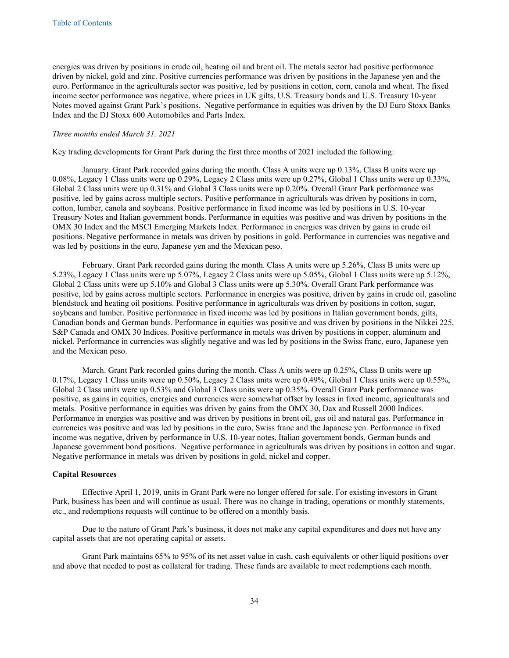energies was driven by positions in crude oil, heating oil and brent oil. The metals sector had positive performance driven by nickel, gold and zinc. Positive currencies performance was driven by positions in the Japanese yen and the euro. Performance in the agriculturals sector was positive, led by positions in cotton, corn, canola and wheat. The fixed income sector performance was negative, where prices in UK gilts, U.S. Treasury bonds and U.S. Treasury 10-year Notes moved against Grant Park's positions. Negative performance in equities was driven by the DJ Euro Stoxx Banks Index and the DJ Stoxx 600 Automobiles and Parts Index.

#### *Three months ended March 31, 2021*

Key trading developments for Grant Park during the first three months of 2021 included the following:

January. Grant Park recorded gains during the month. Class A units were up 0.13%, Class B units were up 0.08%, Legacy 1 Class units were up 0.29%, Legacy 2 Class units were up 0.27%, Global 1 Class units were up 0.33%, Global 2 Class units were up 0.31% and Global 3 Class units were up 0.20%. Overall Grant Park performance was positive, led by gains across multiple sectors. Positive performance in agriculturals was driven by positions in corn, cotton, lumber, canola and soybeans. Positive performance in fixed income was led by positions in U.S. 10-year Treasury Notes and Italian government bonds. Performance in equities was positive and was driven by positions in the OMX 30 Index and the MSCI Emerging Markets Index. Performance in energies was driven by gains in crude oil positions. Negative performance in metals was driven by positions in gold. Performance in currencies was negative and was led by positions in the euro, Japanese yen and the Mexican peso.

February. Grant Park recorded gains during the month. Class A units were up 5.26%, Class B units were up 5.23%, Legacy 1 Class units were up 5.07%, Legacy 2 Class units were up 5.05%, Global 1 Class units were up 5.12%, Global 2 Class units were up 5.10% and Global 3 Class units were up 5.30%. Overall Grant Park performance was positive, led by gains across multiple sectors. Performance in energies was positive, driven by gains in crude oil, gasoline blendstock and heating oil positions. Positive performance in agriculturals was driven by positions in cotton, sugar, soybeans and lumber. Positive performance in fixed income was led by positions in Italian government bonds, gilts, Canadian bonds and German bunds. Performance in equities was positive and was driven by positions in the Nikkei 225, S&P Canada and OMX 30 Indices. Positive performance in metals was driven by positions in copper, aluminum and nickel. Performance in currencies was slightly negative and was led by positions in the Swiss franc, euro, Japanese yen and the Mexican peso.

March. Grant Park recorded gains during the month. Class A units were up 0.25%, Class B units were up 0.17%, Legacy 1 Class units were up 0.50%, Legacy 2 Class units were up 0.49%, Global 1 Class units were up 0.55%, Global 2 Class units were up 0.53% and Global 3 Class units were up 0.35%. Overall Grant Park performance was positive, as gains in equities, energies and currencies were somewhat offset by losses in fixed income, agriculturals and metals. Positive performance in equities was driven by gains from the OMX 30, Dax and Russell 2000 Indices. Performance in energies was positive and was driven by positions in brent oil, gas oil and natural gas. Performance in currencies was positive and was led by positions in the euro, Swiss franc and the Japanese yen. Performance in fixed income was negative, driven by performance in U.S. 10-year notes, Italian government bonds, German bunds and Japanese government bond positions. Negative performance in agriculturals was driven by positions in cotton and sugar. Negative performance in metals was driven by positions in gold, nickel and copper.

#### **Capital Resources**

Effective April 1, 2019, units in Grant Park were no longer offered for sale. For existing investors in Grant Park, business has been and will continue as usual. There was no change in trading, operations or monthly statements, etc., and redemptions requests will continue to be offered on a monthly basis.

Due to the nature of Grant Park's business, it does not make any capital expenditures and does not have any capital assets that are not operating capital or assets.

Grant Park maintains 65% to 95% of its net asset value in cash, cash equivalents or other liquid positions over and above that needed to post as collateral for trading. These funds are available to meet redemptions each month.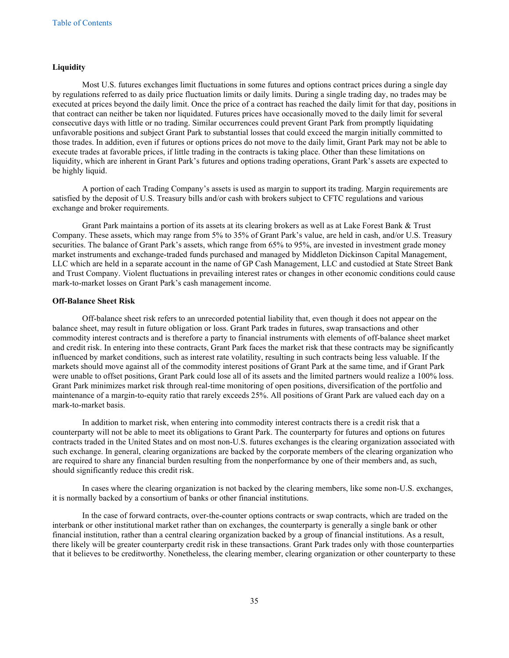#### **Liquidity**

Most U.S. futures exchanges limit fluctuations in some futures and options contract prices during a single day by regulations referred to as daily price fluctuation limits or daily limits. During a single trading day, no trades may be executed at prices beyond the daily limit. Once the price of a contract has reached the daily limit for that day, positions in that contract can neither be taken nor liquidated. Futures prices have occasionally moved to the daily limit for several consecutive days with little or no trading. Similar occurrences could prevent Grant Park from promptly liquidating unfavorable positions and subject Grant Park to substantial losses that could exceed the margin initially committed to those trades. In addition, even if futures or options prices do not move to the daily limit, Grant Park may not be able to execute trades at favorable prices, if little trading in the contracts is taking place. Other than these limitations on liquidity, which are inherent in Grant Park's futures and options trading operations, Grant Park's assets are expected to be highly liquid.

A portion of each Trading Company's assets is used as margin to support its trading. Margin requirements are satisfied by the deposit of U.S. Treasury bills and/or cash with brokers subject to CFTC regulations and various exchange and broker requirements.

Grant Park maintains a portion of its assets at its clearing brokers as well as at Lake Forest Bank & Trust Company. These assets, which may range from 5% to 35% of Grant Park's value, are held in cash, and/or U.S. Treasury securities. The balance of Grant Park's assets, which range from 65% to 95%, are invested in investment grade money market instruments and exchange-traded funds purchased and managed by Middleton Dickinson Capital Management, LLC which are held in a separate account in the name of GP Cash Management, LLC and custodied at State Street Bank and Trust Company. Violent fluctuations in prevailing interest rates or changes in other economic conditions could cause mark-to-market losses on Grant Park's cash management income.

## **Off-Balance Sheet Risk**

Off-balance sheet risk refers to an unrecorded potential liability that, even though it does not appear on the balance sheet, may result in future obligation or loss. Grant Park trades in futures, swap transactions and other commodity interest contracts and is therefore a party to financial instruments with elements of off-balance sheet market and credit risk. In entering into these contracts, Grant Park faces the market risk that these contracts may be significantly influenced by market conditions, such as interest rate volatility, resulting in such contracts being less valuable. If the markets should move against all of the commodity interest positions of Grant Park at the same time, and if Grant Park were unable to offset positions, Grant Park could lose all of its assets and the limited partners would realize a 100% loss. Grant Park minimizes market risk through real-time monitoring of open positions, diversification of the portfolio and maintenance of a margin-to-equity ratio that rarely exceeds 25%. All positions of Grant Park are valued each day on a mark-to-market basis.

In addition to market risk, when entering into commodity interest contracts there is a credit risk that a counterparty will not be able to meet its obligations to Grant Park. The counterparty for futures and options on futures contracts traded in the United States and on most non-U.S. futures exchanges is the clearing organization associated with such exchange. In general, clearing organizations are backed by the corporate members of the clearing organization who are required to share any financial burden resulting from the nonperformance by one of their members and, as such, should significantly reduce this credit risk.

In cases where the clearing organization is not backed by the clearing members, like some non-U.S. exchanges, it is normally backed by a consortium of banks or other financial institutions.

In the case of forward contracts, over-the-counter options contracts or swap contracts, which are traded on the interbank or other institutional market rather than on exchanges, the counterparty is generally a single bank or other financial institution, rather than a central clearing organization backed by a group of financial institutions. As a result, there likely will be greater counterparty credit risk in these transactions. Grant Park trades only with those counterparties that it believes to be creditworthy. Nonetheless, the clearing member, clearing organization or other counterparty to these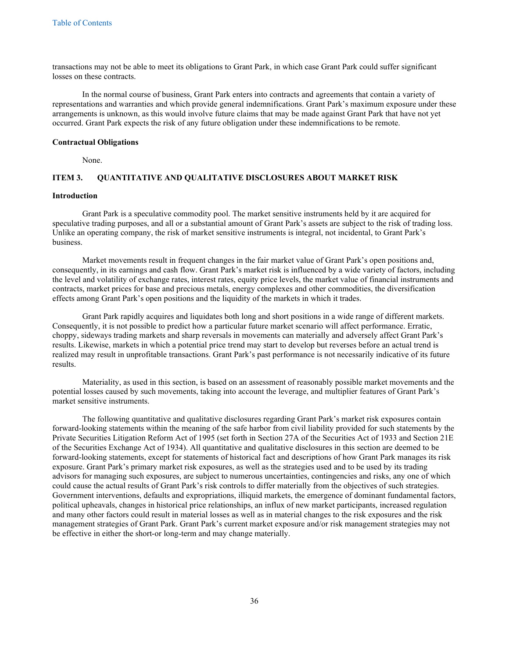transactions may not be able to meet its obligations to Grant Park, in which case Grant Park could suffer significant losses on these contracts.

In the normal course of business, Grant Park enters into contracts and agreements that contain a variety of representations and warranties and which provide general indemnifications. Grant Park's maximum exposure under these arrangements is unknown, as this would involve future claims that may be made against Grant Park that have not yet occurred. Grant Park expects the risk of any future obligation under these indemnifications to be remote.

#### **Contractual Obligations**

<span id="page-36-0"></span>None.

## **ITEM 3. QUANTITATIVE AND QUALITATIVE DISCLOSURES ABOUT MARKET RISK**

## **Introduction**

Grant Park is a speculative commodity pool. The market sensitive instruments held by it are acquired for speculative trading purposes, and all or a substantial amount of Grant Park's assets are subject to the risk of trading loss. Unlike an operating company, the risk of market sensitive instruments is integral, not incidental, to Grant Park's business.

Market movements result in frequent changes in the fair market value of Grant Park's open positions and, consequently, in its earnings and cash flow. Grant Park's market risk is influenced by a wide variety of factors, including the level and volatility of exchange rates, interest rates, equity price levels, the market value of financial instruments and contracts, market prices for base and precious metals, energy complexes and other commodities, the diversification effects among Grant Park's open positions and the liquidity of the markets in which it trades.

Grant Park rapidly acquires and liquidates both long and short positions in a wide range of different markets. Consequently, it is not possible to predict how a particular future market scenario will affect performance. Erratic, choppy, sideways trading markets and sharp reversals in movements can materially and adversely affect Grant Park's results. Likewise, markets in which a potential price trend may start to develop but reverses before an actual trend is realized may result in unprofitable transactions. Grant Park's past performance is not necessarily indicative of its future results.

Materiality, as used in this section, is based on an assessment of reasonably possible market movements and the potential losses caused by such movements, taking into account the leverage, and multiplier features of Grant Park's market sensitive instruments.

The following quantitative and qualitative disclosures regarding Grant Park's market risk exposures contain forward-looking statements within the meaning of the safe harbor from civil liability provided for such statements by the Private Securities Litigation Reform Act of 1995 (set forth in Section 27A of the Securities Act of 1933 and Section 21E of the Securities Exchange Act of 1934). All quantitative and qualitative disclosures in this section are deemed to be forward-looking statements, except for statements of historical fact and descriptions of how Grant Park manages its risk exposure. Grant Park's primary market risk exposures, as well as the strategies used and to be used by its trading advisors for managing such exposures, are subject to numerous uncertainties, contingencies and risks, any one of which could cause the actual results of Grant Park's risk controls to differ materially from the objectives of such strategies. Government interventions, defaults and expropriations, illiquid markets, the emergence of dominant fundamental factors, political upheavals, changes in historical price relationships, an influx of new market participants, increased regulation and many other factors could result in material losses as well as in material changes to the risk exposures and the risk management strategies of Grant Park. Grant Park's current market exposure and/or risk management strategies may not be effective in either the short-or long-term and may change materially.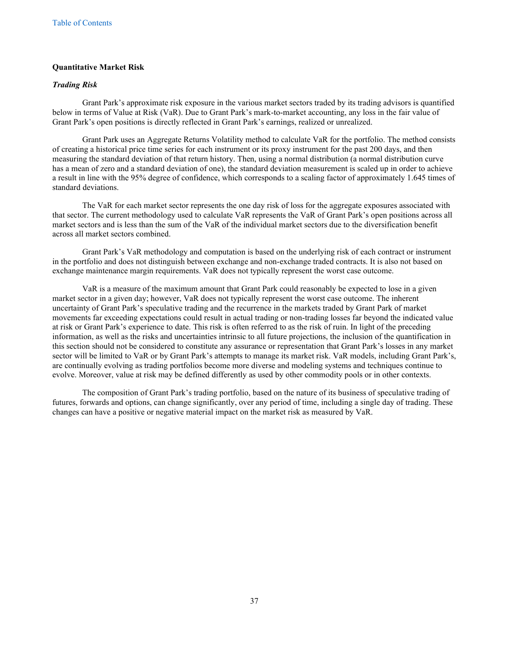## **Quantitative Market Risk**

## *Trading Risk*

Grant Park's approximate risk exposure in the various market sectors traded by its trading advisors is quantified below in terms of Value at Risk (VaR). Due to Grant Park's mark-to-market accounting, any loss in the fair value of Grant Park's open positions is directly reflected in Grant Park's earnings, realized or unrealized.

Grant Park uses an Aggregate Returns Volatility method to calculate VaR for the portfolio. The method consists of creating a historical price time series for each instrument or its proxy instrument for the past 200 days, and then measuring the standard deviation of that return history. Then, using a normal distribution (a normal distribution curve has a mean of zero and a standard deviation of one), the standard deviation measurement is scaled up in order to achieve a result in line with the 95% degree of confidence, which corresponds to a scaling factor of approximately 1.645 times of standard deviations.

The VaR for each market sector represents the one day risk of loss for the aggregate exposures associated with that sector. The current methodology used to calculate VaR represents the VaR of Grant Park's open positions across all market sectors and is less than the sum of the VaR of the individual market sectors due to the diversification benefit across all market sectors combined.

Grant Park's VaR methodology and computation is based on the underlying risk of each contract or instrument in the portfolio and does not distinguish between exchange and non-exchange traded contracts. It is also not based on exchange maintenance margin requirements. VaR does not typically represent the worst case outcome.

VaR is a measure of the maximum amount that Grant Park could reasonably be expected to lose in a given market sector in a given day; however, VaR does not typically represent the worst case outcome. The inherent uncertainty of Grant Park's speculative trading and the recurrence in the markets traded by Grant Park of market movements far exceeding expectations could result in actual trading or non-trading losses far beyond the indicated value at risk or Grant Park's experience to date. This risk is often referred to as the risk of ruin. In light of the preceding information, as well as the risks and uncertainties intrinsic to all future projections, the inclusion of the quantification in this section should not be considered to constitute any assurance or representation that Grant Park's losses in any market sector will be limited to VaR or by Grant Park's attempts to manage its market risk. VaR models, including Grant Park's, are continually evolving as trading portfolios become more diverse and modeling systems and techniques continue to evolve. Moreover, value at risk may be defined differently as used by other commodity pools or in other contexts.

The composition of Grant Park's trading portfolio, based on the nature of its business of speculative trading of futures, forwards and options, can change significantly, over any period of time, including a single day of trading. These changes can have a positive or negative material impact on the market risk as measured by VaR.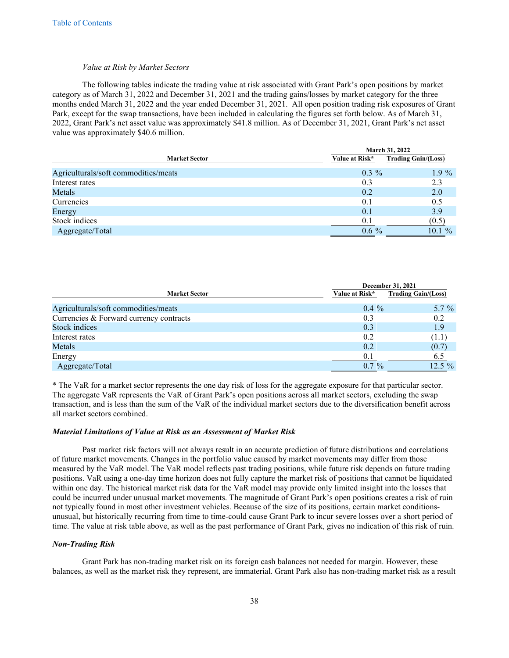#### *Value at Risk by Market Sectors*

The following tables indicate the trading value at risk associated with Grant Park's open positions by market category as of March 31, 2022 and December 31, 2021 and the trading gains/losses by market category for the three months ended March 31, 2022 and the year ended December 31, 2021. All open position trading risk exposures of Grant Park, except for the swap transactions, have been included in calculating the figures set forth below. As of March 31, 2022, Grant Park's net asset value was approximately \$41.8 million. As of December 31, 2021, Grant Park's net asset value was approximately \$40.6 million.

|                                      | March 31, 2022 |                            |
|--------------------------------------|----------------|----------------------------|
| <b>Market Sector</b>                 | Value at Risk* | <b>Trading Gain/(Loss)</b> |
| Agriculturals/soft commodities/meats | $0.3\%$        | $1.9\%$                    |
| Interest rates                       | 0.3            | 2.3                        |
| Metals                               | 0.2            | 2.0                        |
| Currencies                           | 0.1            | 0.5                        |
| Energy                               | 0.1            | 3.9                        |
| Stock indices                        | 0.1            | (0.5)                      |
| Aggregate/Total                      | $0.6\%$        | $10.1\%$                   |

| <b>Market Sector</b>                    |                | <b>December 31, 2021</b>   |  |
|-----------------------------------------|----------------|----------------------------|--|
|                                         | Value at Risk* | <b>Trading Gain/(Loss)</b> |  |
| Agriculturals/soft commodities/meats    | $0.4\%$        | $5.7\%$                    |  |
| Currencies & Forward currency contracts | 0.3            | 0.2                        |  |
| Stock indices                           | 0.3            | 1.9                        |  |
| Interest rates                          | 0.2            | (1.1)                      |  |
| Metals                                  | 0.2            | (0.7)                      |  |
| Energy                                  | 0.1            | 6.5                        |  |
| Aggregate/Total                         | $0.7\%$        | $12.5 \%$                  |  |

\* The VaR for a market sector represents the one day risk of loss for the aggregate exposure for that particular sector. The aggregate VaR represents the VaR of Grant Park's open positions across all market sectors, excluding the swap transaction, and is less than the sum of the VaR of the individual market sectors due to the diversification benefit across all market sectors combined.

#### *Material Limitations of Value at Risk as an Assessment of Market Risk*

Past market risk factors will not always result in an accurate prediction of future distributions and correlations of future market movements. Changes in the portfolio value caused by market movements may differ from those measured by the VaR model. The VaR model reflects past trading positions, while future risk depends on future trading positions. VaR using a one-day time horizon does not fully capture the market risk of positions that cannot be liquidated within one day. The historical market risk data for the VaR model may provide only limited insight into the losses that could be incurred under unusual market movements. The magnitude of Grant Park's open positions creates a risk of ruin not typically found in most other investment vehicles. Because of the size of its positions, certain market conditionsunusual, but historically recurring from time to time-could cause Grant Park to incur severe losses over a short period of time. The value at risk table above, as well as the past performance of Grant Park, gives no indication of this risk of ruin.

#### *Non-Trading Risk*

Grant Park has non-trading market risk on its foreign cash balances not needed for margin. However, these balances, as well as the market risk they represent, are immaterial. Grant Park also has non-trading market risk as a result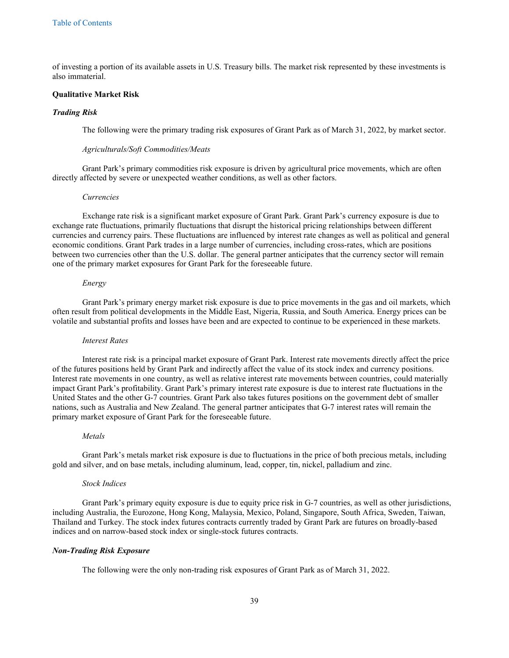of investing a portion of its available assets in U.S. Treasury bills. The market risk represented by these investments is also immaterial.

#### **Qualitative Market Risk**

#### *Trading Risk*

The following were the primary trading risk exposures of Grant Park as of March 31, 2022, by market sector.

#### *Agriculturals/Soft Commodities/Meats*

Grant Park's primary commodities risk exposure is driven by agricultural price movements, which are often directly affected by severe or unexpected weather conditions, as well as other factors.

#### *Currencies*

Exchange rate risk is a significant market exposure of Grant Park. Grant Park's currency exposure is due to exchange rate fluctuations, primarily fluctuations that disrupt the historical pricing relationships between different currencies and currency pairs. These fluctuations are influenced by interest rate changes as well as political and general economic conditions. Grant Park trades in a large number of currencies, including cross-rates, which are positions between two currencies other than the U.S. dollar. The general partner anticipates that the currency sector will remain one of the primary market exposures for Grant Park for the foreseeable future.

#### *Energy*

Grant Park's primary energy market risk exposure is due to price movements in the gas and oil markets, which often result from political developments in the Middle East, Nigeria, Russia, and South America. Energy prices can be volatile and substantial profits and losses have been and are expected to continue to be experienced in these markets.

#### *Interest Rates*

Interest rate risk is a principal market exposure of Grant Park. Interest rate movements directly affect the price of the futures positions held by Grant Park and indirectly affect the value of its stock index and currency positions. Interest rate movements in one country, as well as relative interest rate movements between countries, could materially impact Grant Park's profitability. Grant Park's primary interest rate exposure is due to interest rate fluctuations in the United States and the other G-7 countries. Grant Park also takes futures positions on the government debt of smaller nations, such as Australia and New Zealand. The general partner anticipates that G-7 interest rates will remain the primary market exposure of Grant Park for the foreseeable future.

#### *Metals*

Grant Park's metals market risk exposure is due to fluctuations in the price of both precious metals, including gold and silver, and on base metals, including aluminum, lead, copper, tin, nickel, palladium and zinc.

#### *Stock Indices*

Grant Park's primary equity exposure is due to equity price risk in G-7 countries, as well as other jurisdictions, including Australia, the Eurozone, Hong Kong, Malaysia, Mexico, Poland, Singapore, South Africa, Sweden, Taiwan, Thailand and Turkey. The stock index futures contracts currently traded by Grant Park are futures on broadly-based indices and on narrow-based stock index or single-stock futures contracts.

#### *Non-Trading Risk Exposure*

The following were the only non-trading risk exposures of Grant Park as of March 31, 2022.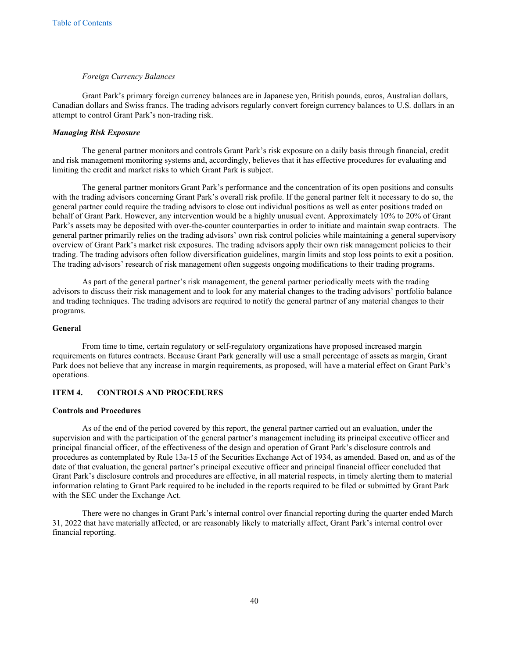#### *Foreign Currency Balances*

Grant Park's primary foreign currency balances are in Japanese yen, British pounds, euros, Australian dollars, Canadian dollars and Swiss francs. The trading advisors regularly convert foreign currency balances to U.S. dollars in an attempt to control Grant Park's non-trading risk.

# *Managing Risk Exposure*

The general partner monitors and controls Grant Park's risk exposure on a daily basis through financial, credit and risk management monitoring systems and, accordingly, believes that it has effective procedures for evaluating and limiting the credit and market risks to which Grant Park is subject.

The general partner monitors Grant Park's performance and the concentration of its open positions and consults with the trading advisors concerning Grant Park's overall risk profile. If the general partner felt it necessary to do so, the general partner could require the trading advisors to close out individual positions as well as enter positions traded on behalf of Grant Park. However, any intervention would be a highly unusual event. Approximately 10% to 20% of Grant Park's assets may be deposited with over-the-counter counterparties in order to initiate and maintain swap contracts. The general partner primarily relies on the trading advisors' own risk control policies while maintaining a general supervisory overview of Grant Park's market risk exposures. The trading advisors apply their own risk management policies to their trading. The trading advisors often follow diversification guidelines, margin limits and stop loss points to exit a position. The trading advisors' research of risk management often suggests ongoing modifications to their trading programs.

As part of the general partner's risk management, the general partner periodically meets with the trading advisors to discuss their risk management and to look for any material changes to the trading advisors' portfolio balance and trading techniques. The trading advisors are required to notify the general partner of any material changes to their programs.

#### **General**

From time to time, certain regulatory or self-regulatory organizations have proposed increased margin requirements on futures contracts. Because Grant Park generally will use a small percentage of assets as margin, Grant Park does not believe that any increase in margin requirements, as proposed, will have a material effect on Grant Park's operations.

## <span id="page-40-0"></span>**ITEM 4. CONTROLS AND PROCEDURES**

## **Controls and Procedures**

As of the end of the period covered by this report, the general partner carried out an evaluation, under the supervision and with the participation of the general partner's management including its principal executive officer and principal financial officer, of the effectiveness of the design and operation of Grant Park's disclosure controls and procedures as contemplated by Rule 13a-15 of the Securities Exchange Act of 1934, as amended. Based on, and as of the date of that evaluation, the general partner's principal executive officer and principal financial officer concluded that Grant Park's disclosure controls and procedures are effective, in all material respects, in timely alerting them to material information relating to Grant Park required to be included in the reports required to be filed or submitted by Grant Park with the SEC under the Exchange Act.

There were no changes in Grant Park's internal control over financial reporting during the quarter ended March 31, 2022 that have materially affected, or are reasonably likely to materially affect, Grant Park's internal control over financial reporting.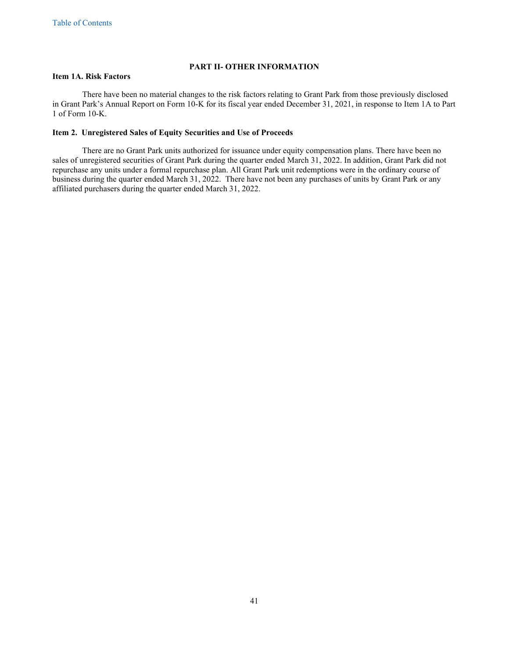## <span id="page-41-2"></span><span id="page-41-1"></span><span id="page-41-0"></span>**PART II- OTHER INFORMATION**

## **Item 1A. Risk Factors**

There have been no material changes to the risk factors relating to Grant Park from those previously disclosed in Grant Park's Annual Report on Form 10-K for its fiscal year ended December 31, 2021, in response to Item 1A to Part 1 of Form 10-K.

## **Item 2. Unregistered Sales of Equity Securities and Use of Proceeds**

There are no Grant Park units authorized for issuance under equity compensation plans. There have been no sales of unregistered securities of Grant Park during the quarter ended March 31, 2022. In addition, Grant Park did not repurchase any units under a formal repurchase plan. All Grant Park unit redemptions were in the ordinary course of business during the quarter ended March 31, 2022. There have not been any purchases of units by Grant Park or any affiliated purchasers during the quarter ended March 31, 2022.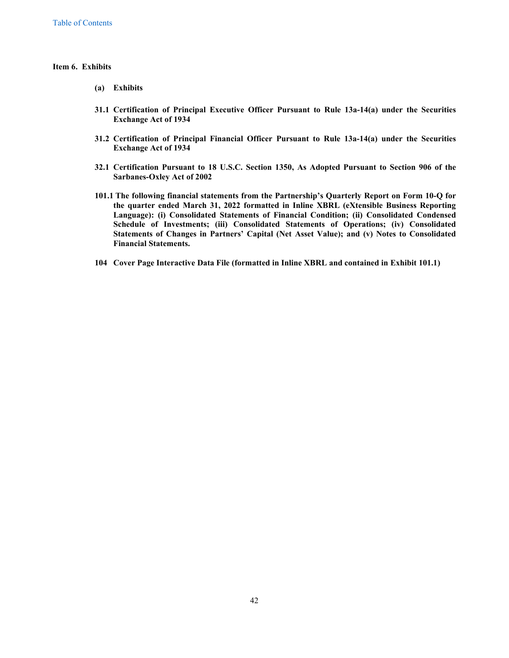#### **Item 6. Exhibits**

- <span id="page-42-0"></span>**(a) Exhibits**
- **31.1 Certification of Principal Executive Officer Pursuant to Rule 13a-14(a) under the Securities Exchange Act of 1934**
- **31.2 Certification of Principal Financial Officer Pursuant to Rule 13a-14(a) under the Securities Exchange Act of 1934**
- **32.1 Certification Pursuant to 18 U.S.C. Section 1350, As Adopted Pursuant to Section 906 of the Sarbanes-Oxley Act of 2002**
- **101.1 The following financial statements from the Partnership's Quarterly Report on Form 10-Q for the quarter ended March 31, 2022 formatted in Inline XBRL (eXtensible Business Reporting Language): (i) Consolidated Statements of Financial Condition; (ii) Consolidated Condensed Schedule of Investments; (iii) Consolidated Statements of Operations; (iv) Consolidated Statements of Changes in Partners' Capital (Net Asset Value); and (v) Notes to Consolidated Financial Statements.**
- **104 Cover Page Interactive Data File (formatted in Inline XBRL and contained in Exhibit 101.1)**